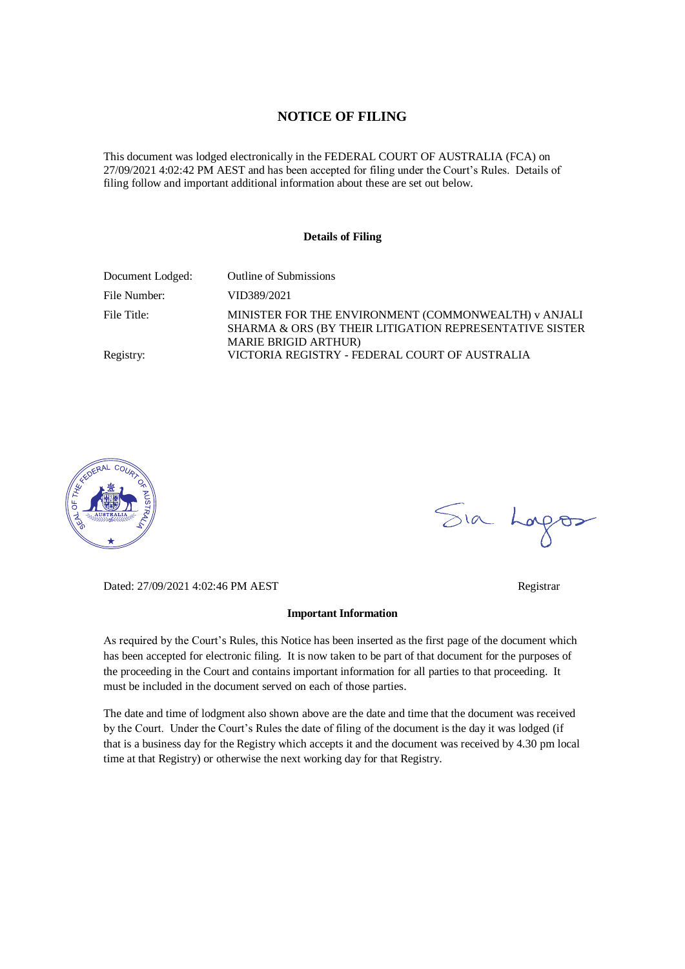### **NOTICE OF FILING**

This document was lodged electronically in the FEDERAL COURT OF AUSTRALIA (FCA) on 27/09/2021 4:02:42 PM AEST and has been accepted for filing under the Court's Rules. Details of filing follow and important additional information about these are set out below.

#### **Details of Filing**

| Document Lodged: | <b>Outline of Submissions</b>                                                                                                                  |
|------------------|------------------------------------------------------------------------------------------------------------------------------------------------|
| File Number:     | VID389/2021                                                                                                                                    |
| File Title:      | MINISTER FOR THE ENVIRONMENT (COMMONWEALTH) v ANJALI<br>SHARMA & ORS (BY THEIR LITIGATION REPRESENTATIVE SISTER<br><b>MARIE BRIGID ARTHUR)</b> |
| Registry:        | VICTORIA REGISTRY - FEDERAL COURT OF AUSTRALIA                                                                                                 |



Sia Lorgos

Dated: 27/09/2021 4:02:46 PM AEST Registrar

#### **Important Information**

As required by the Court's Rules, this Notice has been inserted as the first page of the document which has been accepted for electronic filing. It is now taken to be part of that document for the purposes of the proceeding in the Court and contains important information for all parties to that proceeding. It must be included in the document served on each of those parties.

The date and time of lodgment also shown above are the date and time that the document was received by the Court. Under the Court's Rules the date of filing of the document is the day it was lodged (if that is a business day for the Registry which accepts it and the document was received by 4.30 pm local time at that Registry) or otherwise the next working day for that Registry.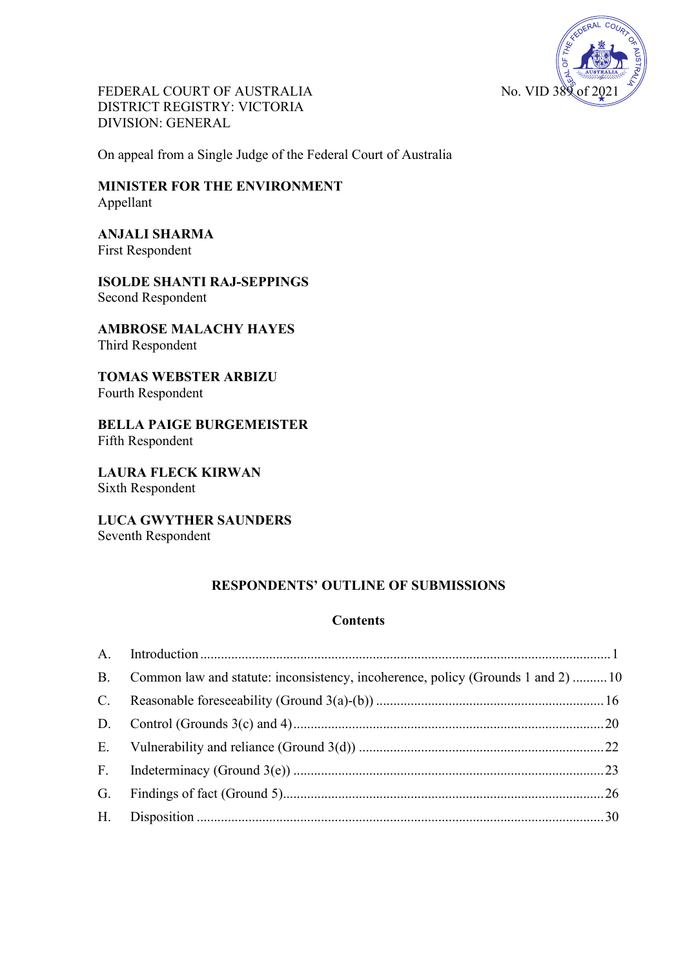

FEDERAL COURT OF AUSTRALIA No. VID 38 DISTRICT REGISTRY: VICTORIA DIVISION: GENERAL

On appeal from a Single Judge of the Federal Court of Australia

**MINISTER FOR THE ENVIRONMENT** Appellant

**ANJALI SHARMA** First Respondent

**ISOLDE SHANTI RAJ-SEPPINGS** Second Respondent

**AMBROSE MALACHY HAYES** Third Respondent

**TOMAS WEBSTER ARBIZU** Fourth Respondent

**BELLA PAIGE BURGEMEISTER** Fifth Respondent

**LAURA FLECK KIRWAN** Sixth Respondent

**LUCA GWYTHER SAUNDERS** Seventh Respondent

# **RESPONDENTS' OUTLINE OF SUBMISSIONS**

## **Contents**

|             | B. Common law and statute: inconsistency, incoherence, policy (Grounds 1 and 2)  10 |  |
|-------------|-------------------------------------------------------------------------------------|--|
| $C_{\cdot}$ |                                                                                     |  |
|             |                                                                                     |  |
|             |                                                                                     |  |
|             |                                                                                     |  |
|             |                                                                                     |  |
|             |                                                                                     |  |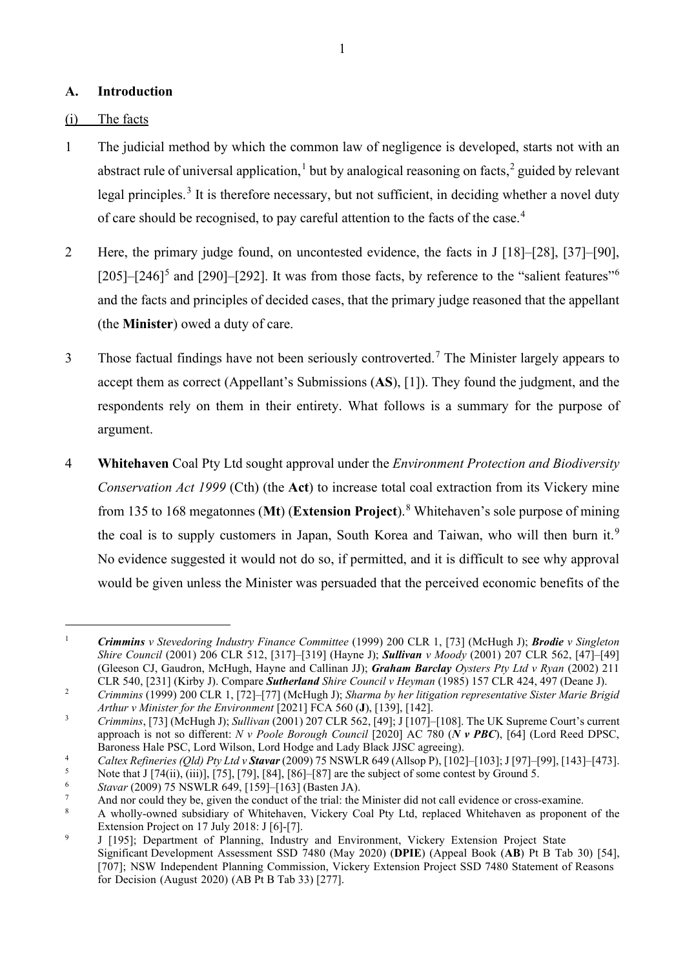## <span id="page-2-0"></span>**A. Introduction**

## (i) The facts

- 1 The judicial method by which the common law of negligence is developed, starts not with an abstract rule of universal application,<sup>[1](#page-2-1)</sup> but by analogical reasoning on facts,<sup>[2](#page-2-2)</sup> guided by relevant legal principles.<sup>[3](#page-2-3)</sup> It is therefore necessary, but not sufficient, in deciding whether a novel duty of care should be recognised, to pay careful attention to the facts of the case.<sup>[4](#page-2-4)</sup>
- 2 Here, the primary judge found, on uncontested evidence, the facts in J [18]–[28], [37]–[90],  $[205]$  $[205]$  $[205]$ – $[246]$  $[246]$  $[246]$ <sup>5</sup> and  $[290]$ – $[292]$ . It was from those facts, by reference to the "salient features"<sup>6</sup> and the facts and principles of decided cases, that the primary judge reasoned that the appellant (the **Minister**) owed a duty of care.
- 3 Those factual findings have not been seriously controverted.<sup>[7](#page-2-7)</sup> The Minister largely appears to accept them as correct (Appellant's Submissions (**AS**), [1]). They found the judgment, and the respondents rely on them in their entirety. What follows is a summary for the purpose of argument.
- 4 **Whitehaven** Coal Pty Ltd sought approval under the *Environment Protection and Biodiversity Conservation Act 1999* (Cth) (the **Act**) to increase total coal extraction from its Vickery mine from 135 to 168 megatonnes (**Mt**) (**Extension Project**).[8](#page-2-8) Whitehaven's sole purpose of mining the coal is to supply customers in Japan, South Korea and Taiwan, who will then burn it.<sup>[9](#page-2-9)</sup> No evidence suggested it would not do so, if permitted, and it is difficult to see why approval would be given unless the Minister was persuaded that the perceived economic benefits of the

<span id="page-2-1"></span><sup>1</sup> *Crimmins v Stevedoring Industry Finance Committee* (1999) 200 CLR 1, [73] (McHugh J); *Brodie v Singleton Shire Council* (2001) 206 CLR 512, [317]–[319] (Hayne J); *Sullivan v Moody* (2001) 207 CLR 562, [47]–[49] (Gleeson CJ, Gaudron, McHugh, Hayne and Callinan JJ); *Graham Barclay Oysters Pty Ltd v Ryan* (2002) 211 CLR 540, [231] (Kirby J). Compare *Sutherland Shire Council v Heyman* (1985) 157 CLR 424, 497 (Deane J).

<span id="page-2-2"></span><sup>2</sup> *Crimmins* (1999) 200 CLR 1, [72]–[77] (McHugh J); *Sharma by her litigation representative Sister Marie Brigid Arthur v Minister for the Environment* [2021] FCA 560 (**J**), [139], [142].

<span id="page-2-3"></span><sup>3</sup> *Crimmins*, [73] (McHugh J); *Sullivan* (2001) 207 CLR 562, [49]; J [107]–[108]. The UK Supreme Court's current approach is not so different: *N v Poole Borough Council* [2020] AC 780 (*N v PBC*), [64] (Lord Reed DPSC, Baroness Hale PSC, Lord Wilson, Lord Hodge and Lady Black JJSC agreeing).

<span id="page-2-4"></span><sup>4</sup> 5 *Caltex Refineries (Qld) Pty Ltd v Stavar* (2009) 75 NSWLR 649 (Allsop P), [102]–[103]; J [97]–[99], [143]–[473]. Note that J  $[74(ii), (iii)]$ ,  $[75]$ ,  $[79]$ ,  $[84]$ ,  $[86]$ – $[87]$  are the subject of some contest by Ground 5.

<span id="page-2-6"></span><span id="page-2-5"></span><sup>6</sup> *Stavar* (2009) 75 NSWLR 649, [159]–[163] (Basten JA).

<span id="page-2-7"></span><sup>7</sup> And nor could they be, given the conduct of the trial: the Minister did not call evidence or cross-examine.

<span id="page-2-8"></span><sup>8</sup> A wholly-owned subsidiary of Whitehaven, Vickery Coal Pty Ltd, replaced Whitehaven as proponent of the Extension Project on 17 July 2018: J [6]-[7].

<span id="page-2-9"></span> $\overline{9}$ J [195]; Department of Planning, Industry and Environment, Vickery Extension Project State Significant Development Assessment SSD 7480 (May 2020) (**DPIE**) (Appeal Book (**AB**) Pt B Tab 30) [54], [707]; NSW Independent Planning Commission, Vickery Extension Project SSD 7480 Statement of Reasons for Decision (August 2020) (AB Pt B Tab 33) [277].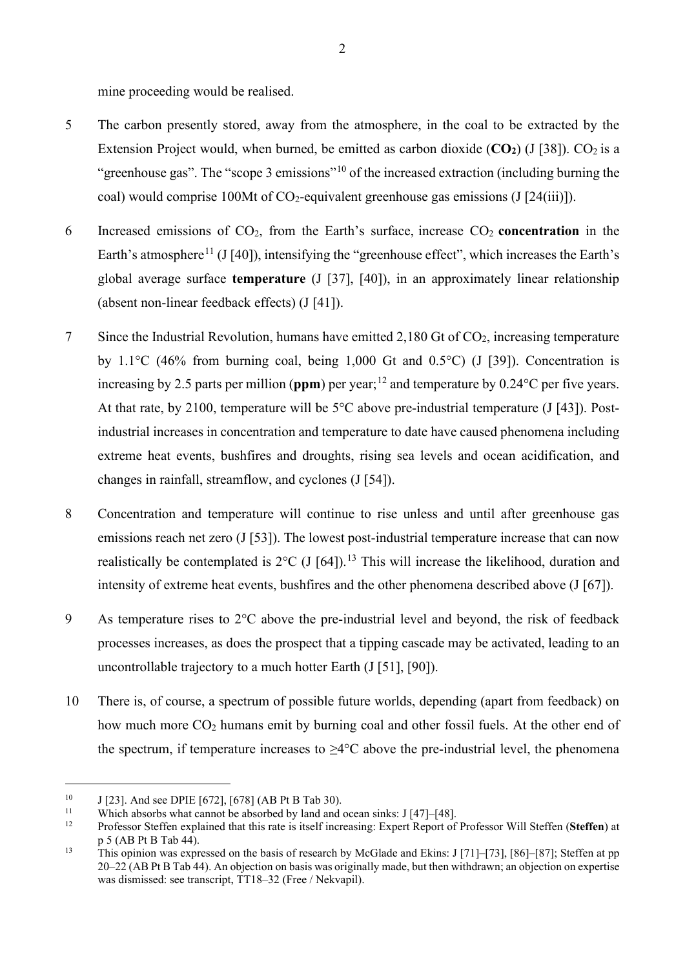mine proceeding would be realised.

- 5 The carbon presently stored, away from the atmosphere, in the coal to be extracted by the Extension Project would, when burned, be emitted as carbon dioxide  $(CO_2)$  (J [38]).  $CO_2$  is a "greenhouse gas". The "scope 3 emissions"<sup>[10](#page-3-0)</sup> of the increased extraction (including burning the coal) would comprise 100Mt of CO<sub>2</sub>-equivalent greenhouse gas emissions (J [24(iii)]).
- 6 Increased emissions of CO2, from the Earth's surface, increase CO2 **concentration** in the Earth's atmosphere<sup>[11](#page-3-1)</sup> (J [40]), intensifying the "greenhouse effect", which increases the Earth's global average surface **temperature** (J [37], [40]), in an approximately linear relationship (absent non-linear feedback effects) (J [41]).
- 7 Since the Industrial Revolution, humans have emitted 2,180 Gt of CO2, increasing temperature by 1.1 $\degree$ C (46% from burning coal, being 1,000 Gt and 0.5 $\degree$ C) (J [39]). Concentration is increasing by 2.5 parts per million ( $ppm$ ) per year;<sup>[12](#page-3-2)</sup> and temperature by 0.24<sup>o</sup>C per five years. At that rate, by 2100, temperature will be  $5^{\circ}$ C above pre-industrial temperature (J [43]). Postindustrial increases in concentration and temperature to date have caused phenomena including extreme heat events, bushfires and droughts, rising sea levels and ocean acidification, and changes in rainfall, streamflow, and cyclones (J [54]).
- 8 Concentration and temperature will continue to rise unless and until after greenhouse gas emissions reach net zero (J [53]). The lowest post-industrial temperature increase that can now realistically be contemplated is  $2^{\circ}C$  (J [64]).<sup>[13](#page-3-3)</sup> This will increase the likelihood, duration and intensity of extreme heat events, bushfires and the other phenomena described above (J [67]).
- 9 As temperature rises to 2°C above the pre-industrial level and beyond, the risk of feedback processes increases, as does the prospect that a tipping cascade may be activated, leading to an uncontrollable trajectory to a much hotter Earth (J [51], [90]).
- 10 There is, of course, a spectrum of possible future worlds, depending (apart from feedback) on how much more  $CO<sub>2</sub>$  humans emit by burning coal and other fossil fuels. At the other end of the spectrum, if temperature increases to  $\geq 4^{\circ}$ C above the pre-industrial level, the phenomena

<span id="page-3-0"></span><sup>&</sup>lt;sup>10</sup> J [23]. And see DPIE [672], [678] (AB Pt B Tab 30).

<span id="page-3-1"></span><sup>&</sup>lt;sup>11</sup> Which absorbs what cannot be absorbed by land and ocean sinks: J [47]–[48].

<span id="page-3-2"></span><sup>12</sup> Professor Steffen explained that this rate is itself increasing: Expert Report of Professor Will Steffen (**Steffen**) at p 5 (AB Pt B Tab 44).

<span id="page-3-3"></span><sup>13</sup> This opinion was expressed on the basis of research by McGlade and Ekins: J [71]–[73], [86]–[87]; Steffen at pp 20–22 (AB Pt B Tab 44). An objection on basis was originally made, but then withdrawn; an objection on expertise was dismissed: see transcript, TT18–32 (Free / Nekvapil).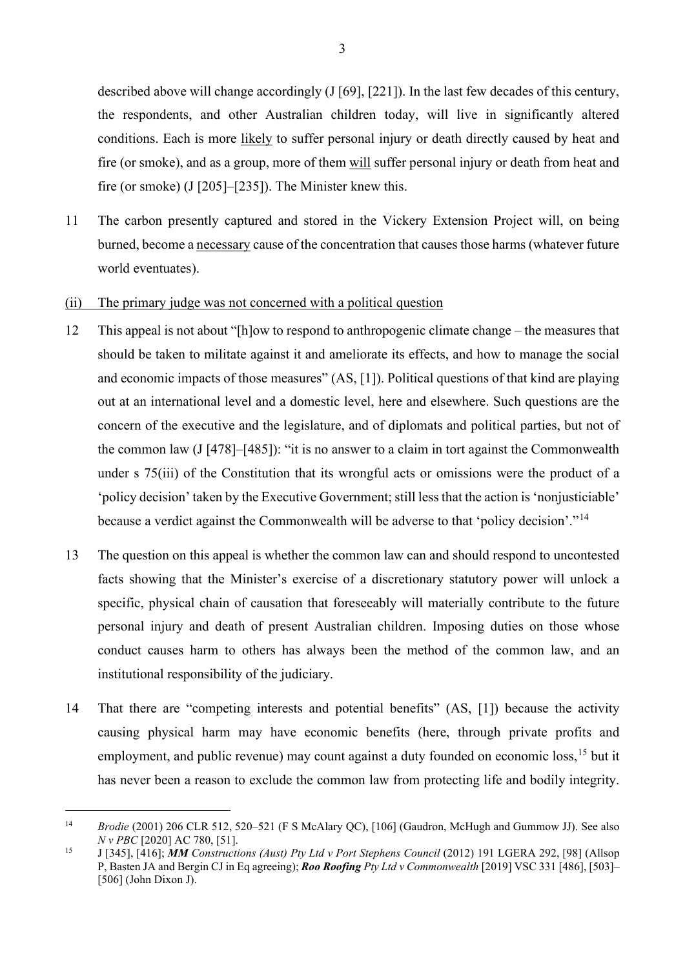described above will change accordingly (J [69], [221]). In the last few decades of this century, the respondents, and other Australian children today, will live in significantly altered conditions. Each is more likely to suffer personal injury or death directly caused by heat and fire (or smoke), and as a group, more of them will suffer personal injury or death from heat and fire (or smoke) (J [205]–[235]). The Minister knew this.

11 The carbon presently captured and stored in the Vickery Extension Project will, on being burned, become a necessary cause of the concentration that causes those harms (whatever future world eventuates).

#### (ii) The primary judge was not concerned with a political question

- <span id="page-4-2"></span>12 This appeal is not about "[h]ow to respond to anthropogenic climate change – the measures that should be taken to militate against it and ameliorate its effects, and how to manage the social and economic impacts of those measures" (AS, [1]). Political questions of that kind are playing out at an international level and a domestic level, here and elsewhere. Such questions are the concern of the executive and the legislature, and of diplomats and political parties, but not of the common law (J [478]–[485]): "it is no answer to a claim in tort against the Commonwealth under s 75(iii) of the Constitution that its wrongful acts or omissions were the product of a 'policy decision' taken by the Executive Government; still less that the action is 'nonjusticiable' because a verdict against the Commonwealth will be adverse to that 'policy decision'."[14](#page-4-0)
- <span id="page-4-3"></span>13 The question on this appeal is whether the common law can and should respond to uncontested facts showing that the Minister's exercise of a discretionary statutory power will unlock a specific, physical chain of causation that foreseeably will materially contribute to the future personal injury and death of present Australian children. Imposing duties on those whose conduct causes harm to others has always been the method of the common law, and an institutional responsibility of the judiciary.
- 14 That there are "competing interests and potential benefits" (AS, [1]) because the activity causing physical harm may have economic benefits (here, through private profits and employment, and public revenue) may count against a duty founded on economic loss,<sup>[15](#page-4-1)</sup> but it has never been a reason to exclude the common law from protecting life and bodily integrity.

<span id="page-4-0"></span><sup>14</sup> *Brodie* (2001) 206 CLR 512, 520–521 (F S McAlary QC), [106] (Gaudron, McHugh and Gummow JJ). See also *N v PBC* [2020] AC 780, [51].

<span id="page-4-1"></span><sup>15</sup> J [345], [416]; *MM Constructions (Aust) Pty Ltd v Port Stephens Council* (2012) 191 LGERA 292, [98] (Allsop P, Basten JA and Bergin CJ in Eq agreeing); *Roo Roofing Pty Ltd v Commonwealth* [2019] VSC 331 [486], [503]– [506] (John Dixon J).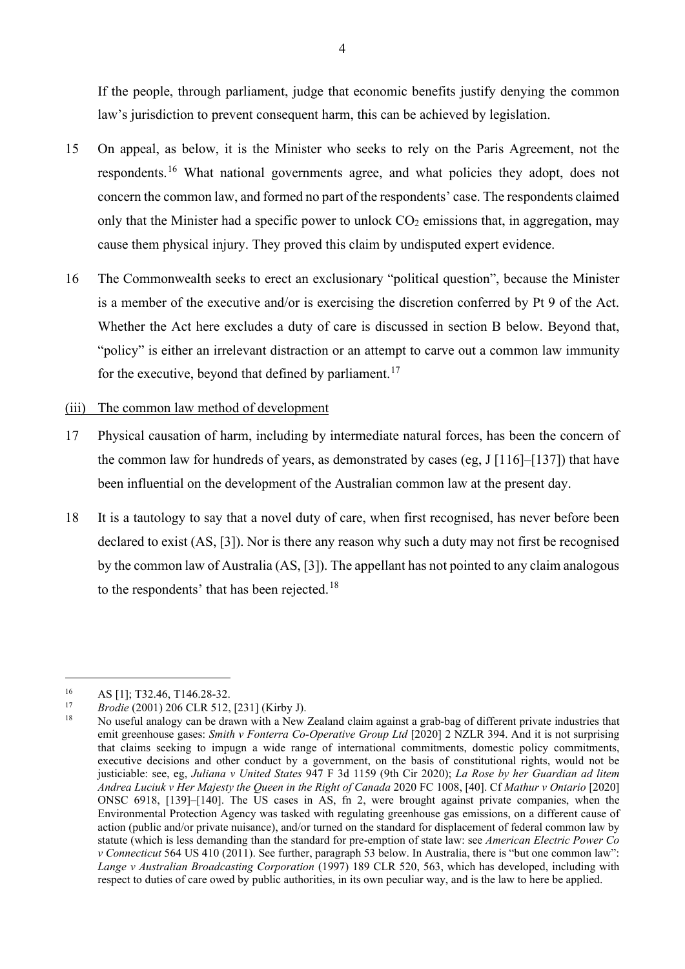If the people, through parliament, judge that economic benefits justify denying the common law's jurisdiction to prevent consequent harm, this can be achieved by legislation.

- 15 On appeal, as below, it is the Minister who seeks to rely on the Paris Agreement, not the respondents.[16](#page-5-0) What national governments agree, and what policies they adopt, does not concern the common law, and formed no part of the respondents' case. The respondents claimed only that the Minister had a specific power to unlock  $CO<sub>2</sub>$  emissions that, in aggregation, may cause them physical injury. They proved this claim by undisputed expert evidence.
- 16 The Commonwealth seeks to erect an exclusionary "political question", because the Minister is a member of the executive and/or is exercising the discretion conferred by Pt 9 of the Act. Whether the Act here excludes a duty of care is discussed in section B below. Beyond that, "policy" is either an irrelevant distraction or an attempt to carve out a common law immunity for the executive, beyond that defined by parliament.<sup>[17](#page-5-1)</sup>

#### (iii) The common law method of development

- 17 Physical causation of harm, including by intermediate natural forces, has been the concern of the common law for hundreds of years, as demonstrated by cases (eg,  $J[116]–[137]$ ) that have been influential on the development of the Australian common law at the present day.
- 18 It is a tautology to say that a novel duty of care, when first recognised, has never before been declared to exist (AS, [3]). Nor is there any reason why such a duty may not first be recognised by the common law of Australia (AS, [3]). The appellant has not pointed to any claim analogous to the respondents' that has been rejected.<sup>[18](#page-5-2)</sup>

<span id="page-5-1"></span><span id="page-5-0"></span>

<sup>16</sup> AS [1]; T32.46, T146.28-32. 17 *Brodie* (2001) 206 CLR 512, [231] (Kirby J).

<span id="page-5-2"></span><sup>18</sup> No useful analogy can be drawn with a New Zealand claim against a grab-bag of different private industries that emit greenhouse gases: *Smith v Fonterra Co-Operative Group Ltd* [2020] 2 NZLR 394. And it is not surprising that claims seeking to impugn a wide range of international commitments, domestic policy commitments, executive decisions and other conduct by a government, on the basis of constitutional rights, would not be justiciable: see, eg, *Juliana v United States* 947 F 3d 1159 (9th Cir 2020); *La Rose by her Guardian ad litem Andrea Luciuk v Her Majesty the Queen in the Right of Canada* 2020 FC 1008, [40]. Cf *Mathur v Ontario* [2020] ONSC 6918, [139]–[140]. The US cases in AS, fn 2, were brought against private companies, when the Environmental Protection Agency was tasked with regulating greenhouse gas emissions, on a different cause of action (public and/or private nuisance), and/or turned on the standard for displacement of federal common law by statute (which is less demanding than the standard for pre-emption of state law: see *American Electric Power Co v Connecticut* 564 US 410 (2011). See further, paragraph [53](#page-16-0) below. In Australia, there is "but one common law": *Lange v Australian Broadcasting Corporation* (1997) 189 CLR 520, 563, which has developed, including with respect to duties of care owed by public authorities, in its own peculiar way, and is the law to here be applied.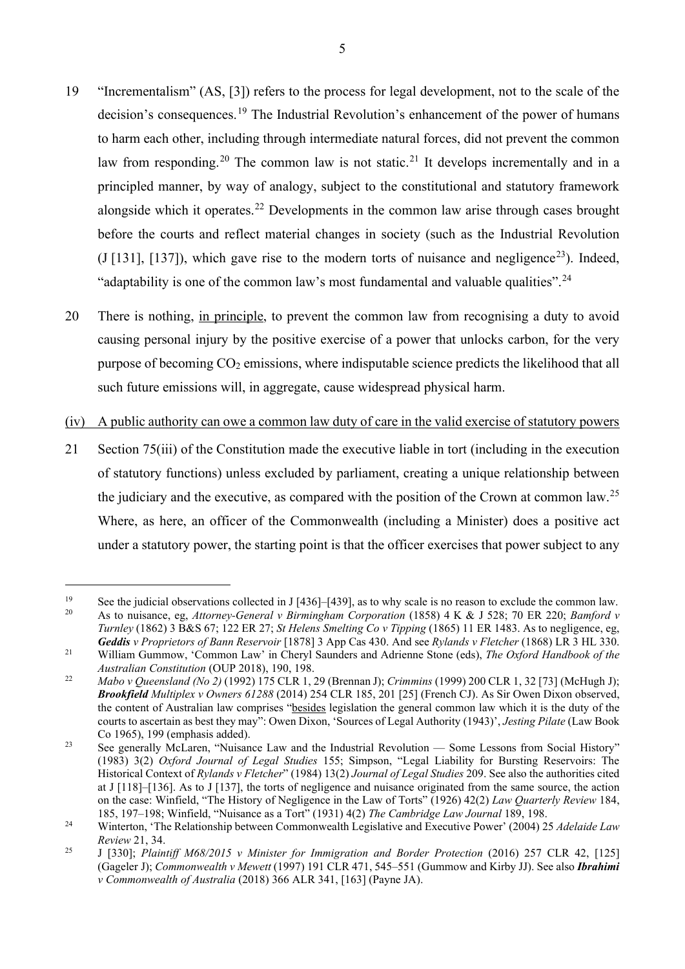- 19 "Incrementalism" (AS, [3]) refers to the process for legal development, not to the scale of the decision's consequences.<sup>[19](#page-6-0)</sup> The Industrial Revolution's enhancement of the power of humans to harm each other, including through intermediate natural forces, did not prevent the common law from responding.<sup>[20](#page-6-1)</sup> The common law is not static.<sup>[21](#page-6-2)</sup> It develops incrementally and in a principled manner, by way of analogy, subject to the constitutional and statutory framework alongside which it operates.<sup>[22](#page-6-3)</sup> Developments in the common law arise through cases brought before the courts and reflect material changes in society (such as the Industrial Revolution (J [131], [137]), which gave rise to the modern torts of nuisance and negligence<sup>23</sup>). Indeed, "adaptability is one of the common law's most fundamental and valuable qualities".<sup>[24](#page-6-5)</sup>
- 20 There is nothing, in principle, to prevent the common law from recognising a duty to avoid causing personal injury by the positive exercise of a power that unlocks carbon, for the very purpose of becoming  $CO<sub>2</sub>$  emissions, where indisputable science predicts the likelihood that all such future emissions will, in aggregate, cause widespread physical harm.
- (iv) A public authority can owe a common law duty of care in the valid exercise of statutory powers
- 21 Section 75(iii) of the Constitution made the executive liable in tort (including in the execution of statutory functions) unless excluded by parliament, creating a unique relationship between the judiciary and the executive, as compared with the position of the Crown at common law.<sup>[25](#page-6-6)</sup> Where, as here, an officer of the Commonwealth (including a Minister) does a positive act under a statutory power, the starting point is that the officer exercises that power subject to any

<span id="page-6-1"></span><span id="page-6-0"></span><sup>&</sup>lt;sup>19</sup> See the judicial observations collected in J [436]–[439], as to why scale is no reason to exclude the common law.<br><sup>20</sup> As to puisance, en Attorney General y Birmingham Corporation (1858) A K & J 528, 70 ER 220, Bamfo <sup>20</sup> As to nuisance, eg, *Attorney-General v Birmingham Corporation* (1858) 4 K & J 528; 70 ER 220; *Bamford v Turnley* (1862) 3 B&S 67; 122 ER 27; *St Helens Smelting Co v Tipping* (1865) 11 ER 1483. As to negligence, eg, *Geddis v Proprietors of Bann Reservoir* [1878] 3 App Cas 430. And see *Rylands v Fletcher* (1868) LR 3 HL 330.

<span id="page-6-2"></span><sup>21</sup> William Gummow, 'Common Law' in Cheryl Saunders and Adrienne Stone (eds), *The Oxford Handbook of the* 

<span id="page-6-3"></span>*Australian Constitution* (OUP 2018), 190, 198. 22 *Mabo v Queensland (No 2)* (1992) 175 CLR 1, 29 (Brennan J); *Crimmins* (1999) 200 CLR 1, 32 [73] (McHugh J); *Brookfield Multiplex v Owners 61288* (2014) 254 CLR 185, 201 [25] (French CJ). As Sir Owen Dixon observed, the content of Australian law comprises "besides legislation the general common law which it is the duty of the courts to ascertain as best they may": Owen Dixon, 'Sources of Legal Authority (1943)', *Jesting Pilate* (Law Book Co 1965), 199 (emphasis added).

<span id="page-6-4"></span><sup>&</sup>lt;sup>23</sup> See generally McLaren, "Nuisance Law and the Industrial Revolution — Some Lessons from Social History" (1983) 3(2) *Oxford Journal of Legal Studies* 155; Simpson, "Legal Liability for Bursting Reservoirs: The Historical Context of *Rylands v Fletcher*" (1984) 13(2) *Journal of Legal Studies* 209. See also the authorities cited at J [118]–[136]. As to J [137], the torts of negligence and nuisance originated from the same source, the action on the case: Winfield, "The History of Negligence in the Law of Torts" (1926) 42(2) *Law Quarterly Review* 184, 185, 197–198; Winfield, "Nuisance as a Tort" (1931) 4(2) *The Cambridge Law Journal* 189, 198.

<span id="page-6-5"></span><sup>24</sup> Winterton, 'The Relationship between Commonwealth Legislative and Executive Power' (2004) 25 *Adelaide Law Review* 21, 34.

<span id="page-6-6"></span><sup>25</sup> J [330]; *Plaintiff M68/2015 v Minister for Immigration and Border Protection* (2016) 257 CLR 42, [125] (Gageler J); *Commonwealth v Mewett* (1997) 191 CLR 471, 545–551 (Gummow and Kirby JJ). See also *Ibrahimi v Commonwealth of Australia* (2018) 366 ALR 341, [163] (Payne JA).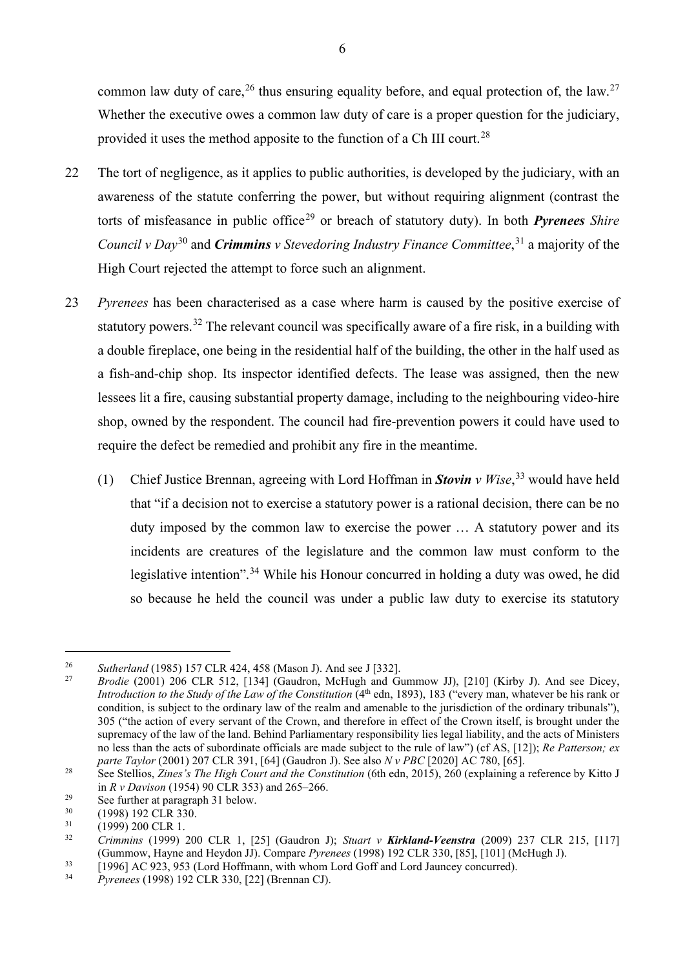common law duty of care,  $26$  thus ensuring equality before, and equal protection of, the law.  $27$ Whether the executive owes a common law duty of care is a proper question for the judiciary, provided it uses the method apposite to the function of a Ch III court.<sup>[28](#page-7-2)</sup>

- 22 The tort of negligence, as it applies to public authorities, is developed by the judiciary, with an awareness of the statute conferring the power, but without requiring alignment (contrast the torts of misfeasance in public office<sup>[29](#page-7-3)</sup> or breach of statutory duty). In both *Pyrenees Shire Council v Day*[30](#page-7-4) and *Crimmins v Stevedoring Industry Finance Committee*, [31](#page-7-5) a majority of the High Court rejected the attempt to force such an alignment.
- 23 *Pyrenees* has been characterised as a case where harm is caused by the positive exercise of statutory powers.<sup>[32](#page-7-6)</sup> The relevant council was specifically aware of a fire risk, in a building with a double fireplace, one being in the residential half of the building, the other in the half used as a fish-and-chip shop. Its inspector identified defects. The lease was assigned, then the new lessees lit a fire, causing substantial property damage, including to the neighbouring video-hire shop, owned by the respondent. The council had fire-prevention powers it could have used to require the defect be remedied and prohibit any fire in the meantime.
	- (1) Chief Justice Brennan, agreeing with Lord Hoffman in *Stovin v Wise*, [33](#page-7-7) would have held that "if a decision not to exercise a statutory power is a rational decision, there can be no duty imposed by the common law to exercise the power … A statutory power and its incidents are creatures of the legislature and the common law must conform to the legislative intention".<sup>[34](#page-7-8)</sup> While his Honour concurred in holding a duty was owed, he did so because he held the council was under a public law duty to exercise its statutory

<span id="page-7-0"></span><sup>&</sup>lt;sup>26</sup> *Sutherland* (1985) 157 CLR 424, 458 (Mason J). And see J [332].

<span id="page-7-1"></span><sup>27</sup> *Brodie* (2001) 206 CLR 512, [134] (Gaudron, McHugh and Gummow JJ), [210] (Kirby J). And see Dicey, *Introduction to the Study of the Law of the Constitution* (4<sup>th</sup> edn, 1893), 183 ("every man, whatever be his rank or condition, is subject to the ordinary law of the realm and amenable to the jurisdiction of the ordinary tribunals"), 305 ("the action of every servant of the Crown, and therefore in effect of the Crown itself, is brought under the supremacy of the law of the land. Behind Parliamentary responsibility lies legal liability, and the acts of Ministers no less than the acts of subordinate officials are made subject to the rule of law") (cf AS, [12]); *Re Patterson; ex parte Taylor* (2001) 207 CLR 391, [64] (Gaudron J). See also *N v PBC* [2020] AC 780, [65].

<span id="page-7-2"></span><sup>&</sup>lt;sup>28</sup> See Stellios, *Zines's The High Court and the Constitution* (6th edn, 2015), 260 (explaining a reference by Kitto J in *R v Davison* (1954) 90 CLR 353) and 265–266.

<span id="page-7-3"></span><sup>&</sup>lt;sup>29</sup> See further at paragraph [31](#page-11-1) below.<br>  $(1998) 192$  CI R 330

<span id="page-7-4"></span> $^{30}$  (1998) 192 CLR 330.

<span id="page-7-6"></span><span id="page-7-5"></span> $\frac{31}{32}$  (1999) 200 CLR 1.<br>Crimmins (1999)

<sup>32</sup> *Crimmins* (1999) 200 CLR 1, [25] (Gaudron J); *Stuart v Kirkland-Veenstra* (2009) 237 CLR 215, [117] (Gummow, Hayne and Heydon JJ). Compare *Pyrenees* (1998) 192 CLR 330, [85], [101] (McHugh J).

<span id="page-7-8"></span><span id="page-7-7"></span> $\frac{33}{2}$  [1996] AC 923, 953 (Lord Hoffmann, with whom Lord Goff and Lord Jauncey concurred).

<sup>34</sup> *Pyrenees* (1998) 192 CLR 330, [22] (Brennan CJ).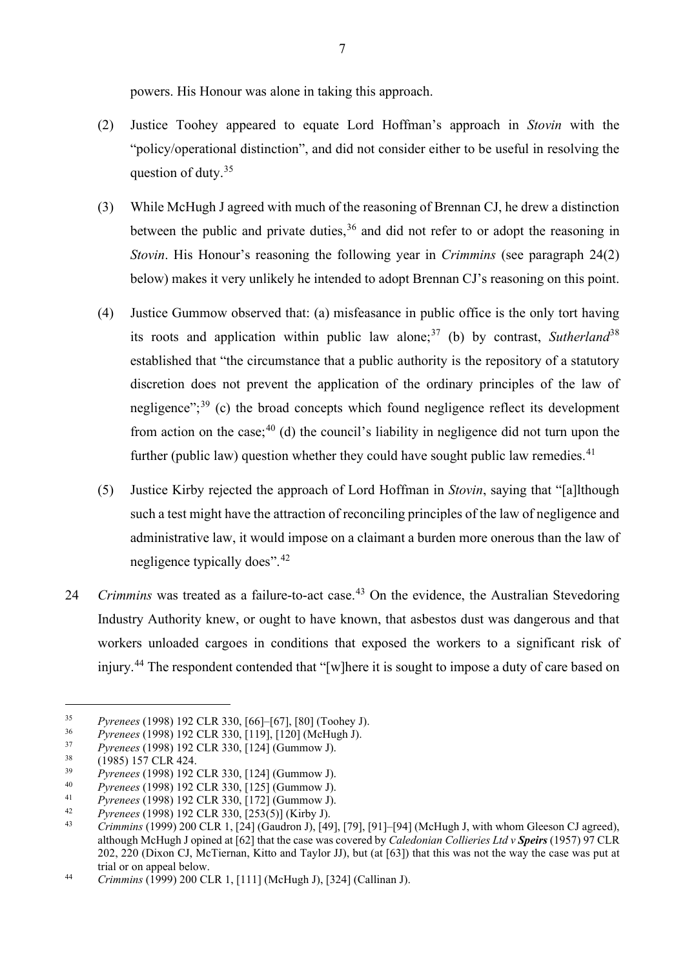powers. His Honour was alone in taking this approach.

- (2) Justice Toohey appeared to equate Lord Hoffman's approach in *Stovin* with the "policy/operational distinction", and did not consider either to be useful in resolving the question of duty.[35](#page-8-0)
- (3) While McHugh J agreed with much of the reasoning of Brennan CJ, he drew a distinction between the public and private duties,  $36$  and did not refer to or adopt the reasoning in *Stovin*. His Honour's reasoning the following year in *Crimmins* (see paragraph [24\(2\)](#page-9-0)  [below\)](#page-9-0) makes it very unlikely he intended to adopt Brennan CJ's reasoning on this point.
- (4) Justice Gummow observed that: (a) misfeasance in public office is the only tort having its roots and application within public law alone;<sup>[37](#page-8-2)</sup> (b) by contrast, *Sutherland*<sup>[38](#page-8-3)</sup> established that "the circumstance that a public authority is the repository of a statutory discretion does not prevent the application of the ordinary principles of the law of negligence"; $^{39}$  $^{39}$  $^{39}$  (c) the broad concepts which found negligence reflect its development from action on the case;  $40$  (d) the council's liability in negligence did not turn upon the further (public law) question whether they could have sought public law remedies.<sup>[41](#page-8-6)</sup>
- (5) Justice Kirby rejected the approach of Lord Hoffman in *Stovin*, saying that "[a]lthough such a test might have the attraction of reconciling principles of the law of negligence and administrative law, it would impose on a claimant a burden more onerous than the law of negligence typically does".<sup>[42](#page-8-7)</sup>
- 24 *Crimmins* was treated as a failure-to-act case.<sup>[43](#page-8-8)</sup> On the evidence, the Australian Stevedoring Industry Authority knew, or ought to have known, that asbestos dust was dangerous and that workers unloaded cargoes in conditions that exposed the workers to a significant risk of injury.<sup>[44](#page-8-9)</sup> The respondent contended that "[w]here it is sought to impose a duty of care based on

<span id="page-8-0"></span><sup>35</sup> *Pyrenees* (1998) 192 CLR 330, [66]–[67], [80] (Toohey J).

<span id="page-8-1"></span><sup>36</sup> *Pyrenees* (1998) 192 CLR 330, [119], [120] (McHugh J).

<span id="page-8-2"></span><sup>37</sup> *Pyrenees* (1998) 192 CLR 330, [124] (Gummow J).

<span id="page-8-3"></span> $\frac{38}{39}$  (1985) 157 CLR 424.

<span id="page-8-4"></span><sup>39</sup> *Pyrenees* (1998) 192 CLR 330, [124] (Gummow J).

<span id="page-8-5"></span><sup>40</sup> *Pyrenees* (1998) 192 CLR 330, [125] (Gummow J).

<span id="page-8-6"></span><sup>41</sup> *Pyrenees* (1998) 192 CLR 330, [172] (Gummow J).

<span id="page-8-8"></span><span id="page-8-7"></span><sup>42</sup> *Pyrenees* (1998) 192 CLR 330, [253(5)] (Kirby J).

<sup>43</sup> *Crimmins* (1999) 200 CLR 1, [24] (Gaudron J), [49], [79], [91]–[94] (McHugh J, with whom Gleeson CJ agreed), although McHugh J opined at [62] that the case was covered by *Caledonian Collieries Ltd v Speirs* (1957) 97 CLR 202, 220 (Dixon CJ, McTiernan, Kitto and Taylor JJ), but (at [63]) that this was not the way the case was put at trial or on appeal below.

<span id="page-8-9"></span><sup>44</sup> *Crimmins* (1999) 200 CLR 1, [111] (McHugh J), [324] (Callinan J).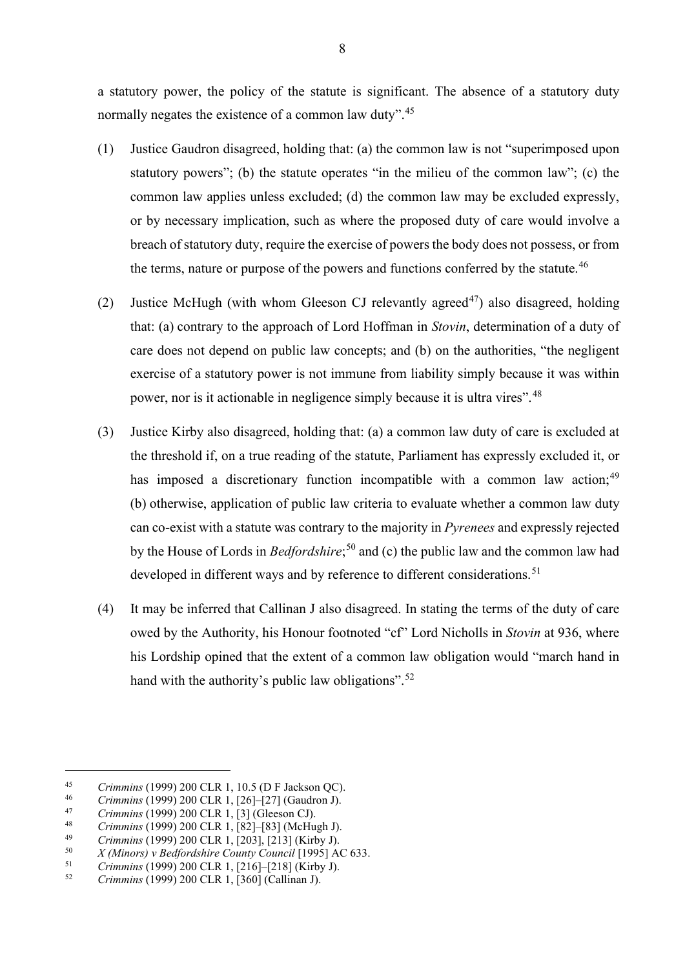a statutory power, the policy of the statute is significant. The absence of a statutory duty normally negates the existence of a common law duty".<sup>[45](#page-9-1)</sup>

- <span id="page-9-9"></span>(1) Justice Gaudron disagreed, holding that: (a) the common law is not "superimposed upon statutory powers"; (b) the statute operates "in the milieu of the common law"; (c) the common law applies unless excluded; (d) the common law may be excluded expressly, or by necessary implication, such as where the proposed duty of care would involve a breach of statutory duty, require the exercise of powers the body does not possess, or from the terms, nature or purpose of the powers and functions conferred by the statute.<sup>[46](#page-9-2)</sup>
- <span id="page-9-0"></span>(2) Justice McHugh (with whom Gleeson CJ relevantly agreed<sup>[47](#page-9-3)</sup>) also disagreed, holding that: (a) contrary to the approach of Lord Hoffman in *Stovin*, determination of a duty of care does not depend on public law concepts; and (b) on the authorities, "the negligent exercise of a statutory power is not immune from liability simply because it was within power, nor is it actionable in negligence simply because it is ultra vires".[48](#page-9-4)
- (3) Justice Kirby also disagreed, holding that: (a) a common law duty of care is excluded at the threshold if, on a true reading of the statute, Parliament has expressly excluded it, or has imposed a discretionary function incompatible with a common law action;  $49$ (b) otherwise, application of public law criteria to evaluate whether a common law duty can co-exist with a statute was contrary to the majority in *Pyrenees* and expressly rejected by the House of Lords in *Bedfordshire*; [50](#page-9-6) and (c) the public law and the common law had developed in different ways and by reference to different considerations.<sup>[51](#page-9-7)</sup>
- (4) It may be inferred that Callinan J also disagreed. In stating the terms of the duty of care owed by the Authority, his Honour footnoted "cf" Lord Nicholls in *Stovin* at 936, where his Lordship opined that the extent of a common law obligation would "march hand in hand with the authority's public law obligations".<sup>[52](#page-9-8)</sup>

<span id="page-9-1"></span><sup>45</sup> *Crimmins* (1999) 200 CLR 1, 10.5 (D F Jackson QC).<br>
46 *Crimmins* (1999) 200 CLR 1, [26]–[27] (Gaudron J).<br> *Crimmins* (1999) 200 CLR 1, [21 (Classen CD).

<span id="page-9-3"></span><span id="page-9-2"></span><sup>47</sup> *Crimmins* (1999) 200 CLR 1, [3] (Gleeson CJ).

<span id="page-9-4"></span><sup>48</sup> *Crimmins* (1999) 200 CLR 1, [82]–[83] (McHugh J).

<span id="page-9-5"></span><sup>49</sup> *Crimmins* (1999) 200 CLR 1, [203], [213] (Kirby J).

<span id="page-9-6"></span><sup>50</sup> *X (Minors) v Bedfordshire County Council* [1995] AC 633.

<span id="page-9-7"></span><sup>51</sup> *Crimmins* (1999) 200 CLR 1, [216]–[218] (Kirby J).

<span id="page-9-8"></span><sup>52</sup> *Crimmins* (1999) 200 CLR 1, [360] (Callinan J).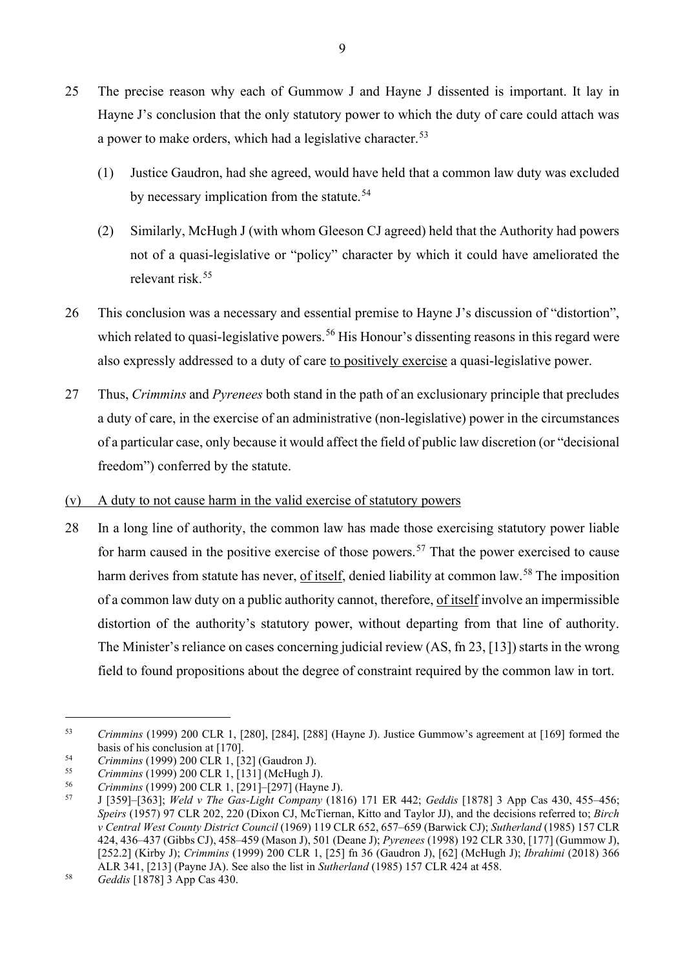- 25 The precise reason why each of Gummow J and Hayne J dissented is important. It lay in Hayne J's conclusion that the only statutory power to which the duty of care could attach was a power to make orders, which had a legislative character.<sup>[53](#page-10-0)</sup>
	- (1) Justice Gaudron, had she agreed, would have held that a common law duty was excluded by necessary implication from the statute.<sup>[54](#page-10-1)</sup>
	- (2) Similarly, McHugh J (with whom Gleeson CJ agreed) held that the Authority had powers not of a quasi-legislative or "policy" character by which it could have ameliorated the relevant risk.[55](#page-10-2)
- 26 This conclusion was a necessary and essential premise to Hayne J's discussion of "distortion", which related to quasi-legislative powers.<sup>[56](#page-10-3)</sup> His Honour's dissenting reasons in this regard were also expressly addressed to a duty of care to positively exercise a quasi-legislative power.
- 27 Thus, *Crimmins* and *Pyrenees* both stand in the path of an exclusionary principle that precludes a duty of care, in the exercise of an administrative (non-legislative) power in the circumstances of a particular case, only because it would affect the field of public law discretion (or "decisional freedom") conferred by the statute.
- (v) A duty to not cause harm in the valid exercise of statutory powers
- 28 In a long line of authority, the common law has made those exercising statutory power liable for harm caused in the positive exercise of those powers.<sup>[57](#page-10-4)</sup> That the power exercised to cause harm derives from statute has never, of itself, denied liability at common law.<sup>[58](#page-10-5)</sup> The imposition of a common law duty on a public authority cannot, therefore, of itself involve an impermissible distortion of the authority's statutory power, without departing from that line of authority. The Minister's reliance on cases concerning judicial review (AS, fn 23, [13]) starts in the wrong field to found propositions about the degree of constraint required by the common law in tort.

<span id="page-10-0"></span><sup>53</sup> *Crimmins* (1999) 200 CLR 1, [280], [284], [288] (Hayne J). Justice Gummow's agreement at [169] formed the basis of his conclusion at [170].

<span id="page-10-1"></span><sup>54</sup> *Crimmins* (1999) 200 CLR 1, [32] (Gaudron J).

<span id="page-10-2"></span><sup>55</sup> *Crimmins* (1999) 200 CLR 1, [131] (McHugh J).

<span id="page-10-4"></span><span id="page-10-3"></span><sup>56</sup> *Crimmins* (1999) 200 CLR 1, [291]–[297] (Hayne J).

<sup>57</sup> J [359]–[363]; *Weld v The Gas-Light Company* (1816) 171 ER 442; *Geddis* [1878] 3 App Cas 430, 455–456; *Speirs* (1957) 97 CLR 202, 220 (Dixon CJ, McTiernan, Kitto and Taylor JJ), and the decisions referred to; *Birch v Central West County District Council* (1969) 119 CLR 652, 657–659 (Barwick CJ); *Sutherland* (1985) 157 CLR 424, 436–437 (Gibbs CJ), 458–459 (Mason J), 501 (Deane J); *Pyrenees* (1998) 192 CLR 330, [177] (Gummow J), [252.2] (Kirby J); *Crimmins* (1999) 200 CLR 1, [25] fn 36 (Gaudron J), [62] (McHugh J); *Ibrahimi* (2018) 366 ALR 341, [213] (Payne JA). See also the list in *Sutherland* (1985) 157 CLR 424 at 458.

<span id="page-10-5"></span><sup>58</sup> *Geddis* [1878] 3 App Cas 430.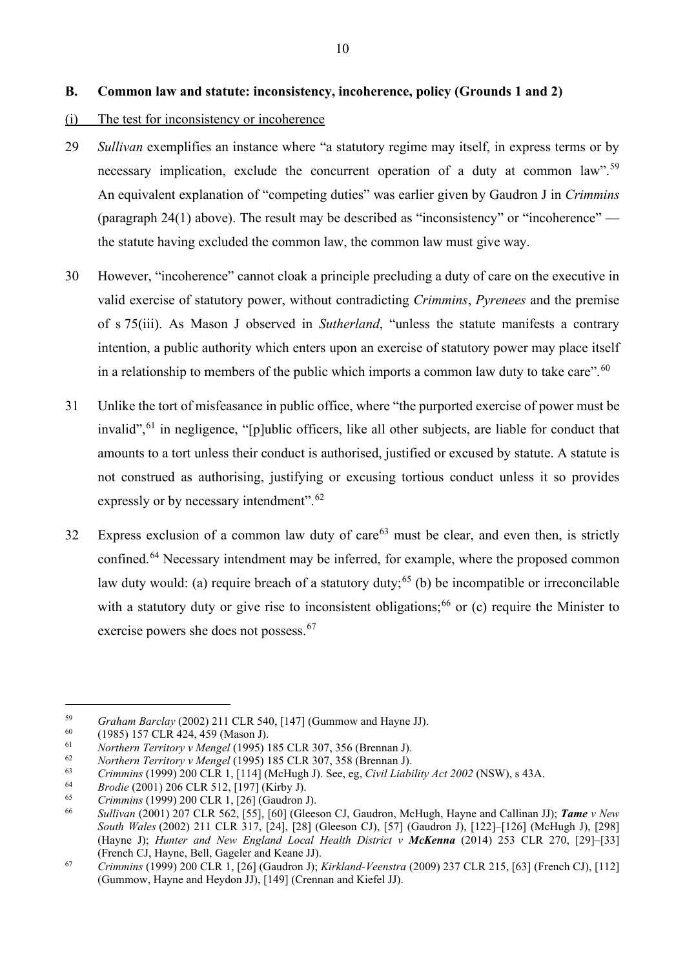## <span id="page-11-0"></span>**B. Common law and statute: inconsistency, incoherence, policy (Grounds 1 and 2)**

#### (i) The test for inconsistency or incoherence

- 29 *Sullivan* exemplifies an instance where "a statutory regime may itself, in express terms or by necessary implication, exclude the concurrent operation of a duty at common law".<sup>[59](#page-11-2)</sup> An equivalent explanation of "competing duties" was earlier given by Gaudron J in *Crimmins*  (paragraph [24\(1\)](#page-9-9) above). The result may be described as "inconsistency" or "incoherence" the statute having excluded the common law, the common law must give way.
- 30 However, "incoherence" cannot cloak a principle precluding a duty of care on the executive in valid exercise of statutory power, without contradicting *Crimmins*, *Pyrenees* and the premise of s 75(iii). As Mason J observed in *Sutherland*, "unless the statute manifests a contrary intention, a public authority which enters upon an exercise of statutory power may place itself in a relationship to members of the public which imports a common law duty to take care".<sup>[60](#page-11-3)</sup>
- <span id="page-11-1"></span>31 Unlike the tort of misfeasance in public office, where "the purported exercise of power must be invalid",<sup>[61](#page-11-4)</sup> in negligence, "[p]ublic officers, like all other subjects, are liable for conduct that amounts to a tort unless their conduct is authorised, justified or excused by statute. A statute is not construed as authorising, justifying or excusing tortious conduct unless it so provides expressly or by necessary intendment".<sup>[62](#page-11-5)</sup>
- 32 Express exclusion of a common law duty of care<sup>[63](#page-11-6)</sup> must be clear, and even then, is strictly confined.<sup>64</sup> Necessary intendment may be inferred, for example, where the proposed common law duty would: (a) require breach of a statutory duty;<sup>[65](#page-11-8)</sup> (b) be incompatible or irreconcilable with a statutory duty or give rise to inconsistent obligations;<sup>[66](#page-11-9)</sup> or (c) require the Minister to exercise powers she does not possess.<sup>[67](#page-11-10)</sup>

<span id="page-11-2"></span><sup>&</sup>lt;sup>59</sup> *Graham Barclay* (2002) 211 CLR 540, [147] (Gummow and Hayne JJ).<br>
<sup>60</sup> (1985) 157 CLR 424, 459 (Mason J).<br> *Northern Territory v Mengel* (1995) 185 CLR 307, 356 (Brennan J).<br> *Northern Territory v Mengel* (1905) 185

<span id="page-11-3"></span>

<span id="page-11-5"></span><span id="page-11-4"></span><sup>62</sup> *Northern Territory v Mengel* (1995) 185 CLR 307, 358 (Brennan J).

<span id="page-11-6"></span><sup>63</sup> *Crimmins* (1999) 200 CLR 1, [114] (McHugh J). See, eg, *Civil Liability Act 2002* (NSW), s 43A.

<span id="page-11-7"></span><sup>64</sup> *Brodie* (2001) 206 CLR 512, [197] (Kirby J).

<span id="page-11-9"></span><span id="page-11-8"></span><sup>65</sup> *Crimmins* (1999) 200 CLR 1, [26] (Gaudron J).

<sup>66</sup> *Sullivan* (2001) 207 CLR 562, [55], [60] (Gleeson CJ, Gaudron, McHugh, Hayne and Callinan JJ); *Tame v New South Wales* (2002) 211 CLR 317, [24], [28] (Gleeson CJ), [57] (Gaudron J), [122]–[126] (McHugh J), [298] (Hayne J); *Hunter and New England Local Health District v McKenna* (2014) 253 CLR 270, [29]–[33] (French CJ, Hayne, Bell, Gageler and Keane JJ).

<span id="page-11-10"></span><sup>67</sup> *Crimmins* (1999) 200 CLR 1, [26] (Gaudron J); *Kirkland-Veenstra* (2009) 237 CLR 215, [63] (French CJ), [112] (Gummow, Hayne and Heydon JJ), [149] (Crennan and Kiefel JJ).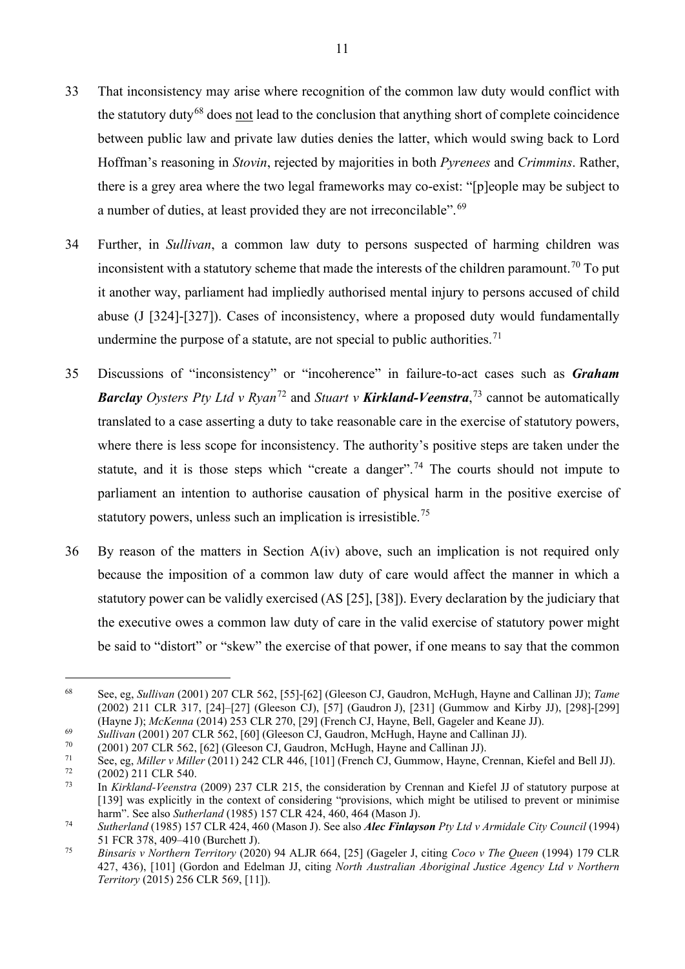- 33 That inconsistency may arise where recognition of the common law duty would conflict with the statutory duty<sup>[68](#page-12-0)</sup> does not lead to the conclusion that anything short of complete coincidence between public law and private law duties denies the latter, which would swing back to Lord Hoffman's reasoning in *Stovin*, rejected by majorities in both *Pyrenees* and *Crimmins*. Rather, there is a grey area where the two legal frameworks may co-exist: "[p]eople may be subject to a number of duties, at least provided they are not irreconcilable". <sup>[69](#page-12-1)</sup>
- 34 Further, in *Sullivan*, a common law duty to persons suspected of harming children was inconsistent with a statutory scheme that made the interests of the children paramount.<sup>[70](#page-12-2)</sup> To put it another way, parliament had impliedly authorised mental injury to persons accused of child abuse (J [324]-[327]). Cases of inconsistency, where a proposed duty would fundamentally undermine the purpose of a statute, are not special to public authorities.<sup>[71](#page-12-3)</sup>
- 35 Discussions of "inconsistency" or "incoherence" in failure-to-act cases such as *Graham Barclay Oysters Pty Ltd v Ryan***<sup>[72](#page-12-4)</sup> and** *Stuart v <b>Kirkland-Veenstra*,<sup>[73](#page-12-5)</sup> cannot be automatically translated to a case asserting a duty to take reasonable care in the exercise of statutory powers, where there is less scope for inconsistency. The authority's positive steps are taken under the statute, and it is those steps which "create a danger".<sup>[74](#page-12-6)</sup> The courts should not impute to parliament an intention to authorise causation of physical harm in the positive exercise of statutory powers, unless such an implication is irresistible.<sup>[75](#page-12-7)</sup>
- 36 By reason of the matters in Section A(iv) above, such an implication is not required only because the imposition of a common law duty of care would affect the manner in which a statutory power can be validly exercised (AS [25], [38]). Every declaration by the judiciary that the executive owes a common law duty of care in the valid exercise of statutory power might be said to "distort" or "skew" the exercise of that power, if one means to say that the common

<span id="page-12-0"></span><sup>68</sup> See, eg, *Sullivan* (2001) 207 CLR 562, [55]-[62] (Gleeson CJ, Gaudron, McHugh, Hayne and Callinan JJ); *Tame*  (2002) 211 CLR 317, [24]–[27] (Gleeson CJ), [57] (Gaudron J), [231] (Gummow and Kirby JJ), [298]-[299] (Hayne J); *McKenna* (2014) 253 CLR 270, [29] (French CJ, Hayne, Bell, Gageler and Keane JJ).

<span id="page-12-1"></span><sup>69</sup> *Sullivan* (2001) 207 CLR 562, [60] (Gleeson CJ, Gaudron, McHugh, Hayne and Callinan JJ).

<span id="page-12-2"></span> $^{70}$  (2001) 207 CLR 562, [62] (Gleeson CJ, Gaudron, McHugh, Hayne and Callinan JJ).<br> $^{71}$  See as Milleu Willey (2011) 242 CLB 446, [1011 (Franch CJ, Gummouy, Hayne, G

<span id="page-12-3"></span><sup>71</sup> See, eg, *Miller v Miller* (2011) 242 CLR 446, [101] (French CJ, Gummow, Hayne, Crennan, Kiefel and Bell JJ).

<span id="page-12-5"></span><span id="page-12-4"></span> $\frac{72}{73}$  (2002) 211 CLR 540.

<sup>73</sup> In *Kirkland-Veenstra* (2009) 237 CLR 215, the consideration by Crennan and Kiefel JJ of statutory purpose at [139] was explicitly in the context of considering "provisions, which might be utilised to prevent or minimise harm". See also *Sutherland* (1985) 157 CLR 424, 460, 464 (Mason J).

<span id="page-12-6"></span><sup>74</sup> *Sutherland* (1985) 157 CLR 424, 460 (Mason J). See also *Alec Finlayson Pty Ltd v Armidale City Council* (1994) 51 FCR 378, 409–410 (Burchett J).

<span id="page-12-7"></span><sup>75</sup> *Binsaris v Northern Territory* (2020) 94 ALJR 664, [25] (Gageler J, citing *Coco v The Queen* (1994) 179 CLR 427, 436), [101] (Gordon and Edelman JJ, citing *North Australian Aboriginal Justice Agency Ltd v Northern Territory* (2015) 256 CLR 569, [11]).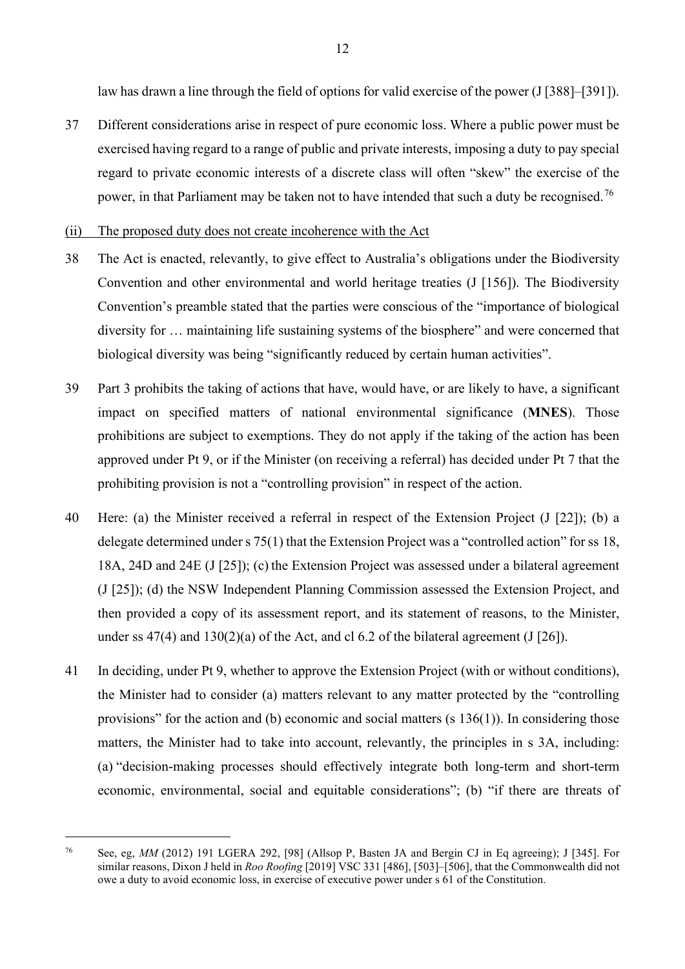law has drawn a line through the field of options for valid exercise of the power (J [388]–[391]).

37 Different considerations arise in respect of pure economic loss. Where a public power must be exercised having regard to a range of public and private interests, imposing a duty to pay special regard to private economic interests of a discrete class will often "skew" the exercise of the power, in that Parliament may be taken not to have intended that such a duty be recognised.<sup>[76](#page-13-0)</sup>

#### (ii) The proposed duty does not create incoherence with the Act

- 38 The Act is enacted, relevantly, to give effect to Australia's obligations under the Biodiversity Convention and other environmental and world heritage treaties (J [156]). The Biodiversity Convention's preamble stated that the parties were conscious of the "importance of biological diversity for … maintaining life sustaining systems of the biosphere" and were concerned that biological diversity was being "significantly reduced by certain human activities".
- 39 Part 3 prohibits the taking of actions that have, would have, or are likely to have, a significant impact on specified matters of national environmental significance (**MNES**). Those prohibitions are subject to exemptions. They do not apply if the taking of the action has been approved under Pt 9, or if the Minister (on receiving a referral) has decided under Pt 7 that the prohibiting provision is not a "controlling provision" in respect of the action.
- 40 Here: (a) the Minister received a referral in respect of the Extension Project (J [22]); (b) a delegate determined under s 75(1) that the Extension Project was a "controlled action" for ss 18, 18A, 24D and 24E (J [25]); (c) the Extension Project was assessed under a bilateral agreement (J [25]); (d) the NSW Independent Planning Commission assessed the Extension Project, and then provided a copy of its assessment report, and its statement of reasons, to the Minister, under ss  $47(4)$  and  $130(2)(a)$  of the Act, and cl 6.2 of the bilateral agreement (J [26]).
- 41 In deciding, under Pt 9, whether to approve the Extension Project (with or without conditions), the Minister had to consider (a) matters relevant to any matter protected by the "controlling provisions" for the action and (b) economic and social matters (s 136(1)). In considering those matters, the Minister had to take into account, relevantly, the principles in s 3A, including: (a) "decision-making processes should effectively integrate both long-term and short-term economic, environmental, social and equitable considerations"; (b) "if there are threats of

<span id="page-13-0"></span><sup>76</sup> See, eg, *MM* (2012) 191 LGERA 292, [98] (Allsop P, Basten JA and Bergin CJ in Eq agreeing); J [345]. For similar reasons, Dixon J held in *Roo Roofing* [2019] VSC 331 [486], [503]–[506], that the Commonwealth did not owe a duty to avoid economic loss, in exercise of executive power under s 61 of the Constitution.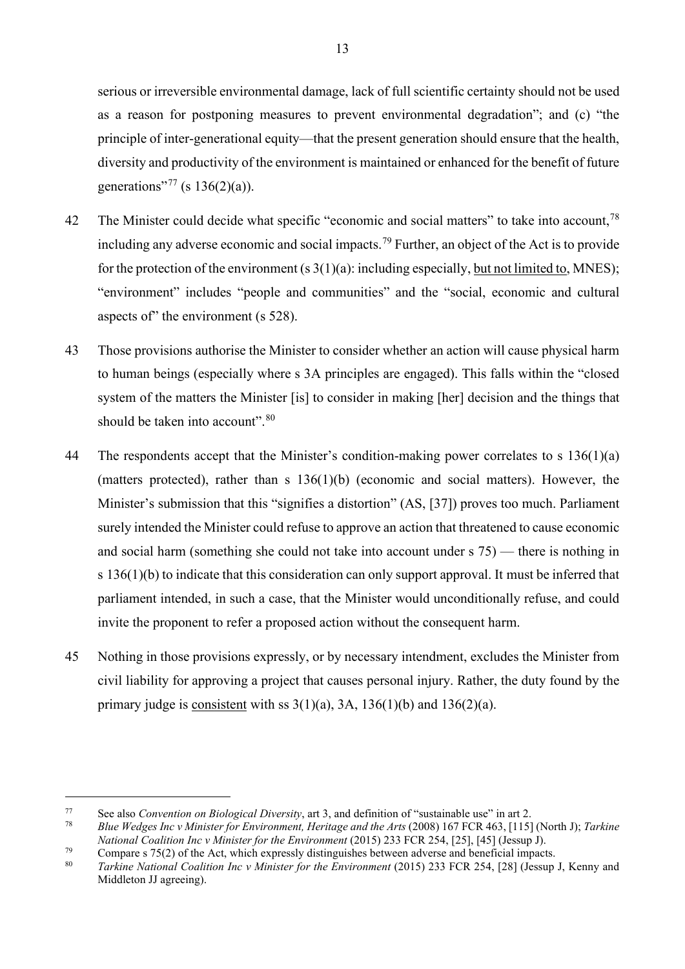serious or irreversible environmental damage, lack of full scientific certainty should not be used as a reason for postponing measures to prevent environmental degradation"; and (c) "the principle of inter-generational equity—that the present generation should ensure that the health, diversity and productivity of the environment is maintained or enhanced for the benefit of future generations"<sup>[77](#page-14-0)</sup> (s  $136(2)(a)$ ).

- 42 The Minister could decide what specific "economic and social matters" to take into account,<sup>[78](#page-14-1)</sup> including any adverse economic and social impacts.<sup>[79](#page-14-2)</sup> Further, an object of the Act is to provide for the protection of the environment  $(s \, 3(1)(a))$ : including especially, but not limited to, MNES); "environment" includes "people and communities" and the "social, economic and cultural aspects of" the environment (s 528).
- 43 Those provisions authorise the Minister to consider whether an action will cause physical harm to human beings (especially where s 3A principles are engaged). This falls within the "closed system of the matters the Minister [is] to consider in making [her] decision and the things that should be taken into account".<sup>[80](#page-14-3)</sup>
- 44 The respondents accept that the Minister's condition-making power correlates to s 136(1)(a) (matters protected), rather than s 136(1)(b) (economic and social matters). However, the Minister's submission that this "signifies a distortion" (AS, [37]) proves too much. Parliament surely intended the Minister could refuse to approve an action that threatened to cause economic and social harm (something she could not take into account under s 75) — there is nothing in s 136(1)(b) to indicate that this consideration can only support approval. It must be inferred that parliament intended, in such a case, that the Minister would unconditionally refuse, and could invite the proponent to refer a proposed action without the consequent harm.
- 45 Nothing in those provisions expressly, or by necessary intendment, excludes the Minister from civil liability for approving a project that causes personal injury. Rather, the duty found by the primary judge is consistent with ss  $3(1)(a)$ , 3A,  $136(1)(b)$  and  $136(2)(a)$ .

<span id="page-14-0"></span><sup>77</sup> See also *Convention on Biological Diversity*, art 3, and definition of "sustainable use" in art 2.

<span id="page-14-1"></span><sup>78</sup> *Blue Wedges Inc v Minister for Environment, Heritage and the Arts* (2008) 167 FCR 463, [115] (North J); *Tarkine National Coalition Inc v Minister for the Environment* (2015) 233 FCR 254, [25], [45] (Jessup J).

<span id="page-14-2"></span><sup>&</sup>lt;sup>79</sup> Compare s 75(2) of the Act, which expressly distinguishes between adverse and beneficial impacts.<br><sup>80</sup> *Tarking National Coalition Inc.y Minister for the Emvironment* (2015) 233 ECP 254 [28] (Jessup

<span id="page-14-3"></span><sup>80</sup> *Tarkine National Coalition Inc v Minister for the Environment* (2015) 233 FCR 254, [28] (Jessup J, Kenny and Middleton JJ agreeing).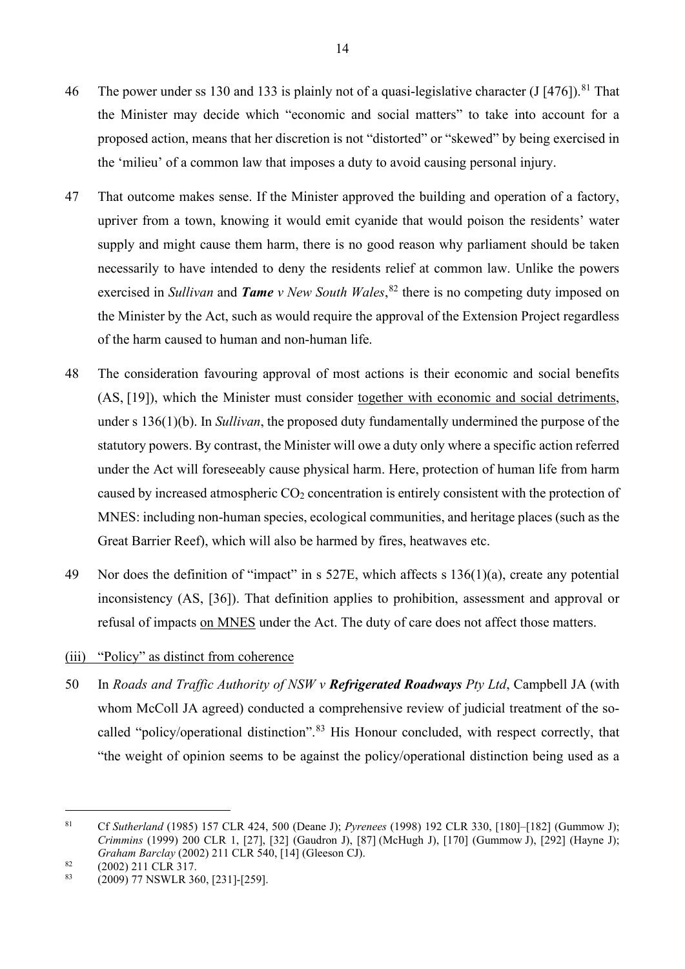- 46 The power under ss 130 and 133 is plainly not of a quasi-legislative character  $\left(\frac{J}{476}\right)$ .<sup>[81](#page-15-0)</sup> That the Minister may decide which "economic and social matters" to take into account for a proposed action, means that her discretion is not "distorted" or "skewed" by being exercised in the 'milieu' of a common law that imposes a duty to avoid causing personal injury.
- 47 That outcome makes sense. If the Minister approved the building and operation of a factory, upriver from a town, knowing it would emit cyanide that would poison the residents' water supply and might cause them harm, there is no good reason why parliament should be taken necessarily to have intended to deny the residents relief at common law. Unlike the powers exercised in *Sullivan* and *Tame v New South Wales*, [82](#page-15-1) there is no competing duty imposed on the Minister by the Act, such as would require the approval of the Extension Project regardless of the harm caused to human and non-human life.
- 48 The consideration favouring approval of most actions is their economic and social benefits (AS, [19]), which the Minister must consider together with economic and social detriments, under s 136(1)(b). In *Sullivan*, the proposed duty fundamentally undermined the purpose of the statutory powers. By contrast, the Minister will owe a duty only where a specific action referred under the Act will foreseeably cause physical harm. Here, protection of human life from harm caused by increased atmospheric  $CO<sub>2</sub>$  concentration is entirely consistent with the protection of MNES: including non-human species, ecological communities, and heritage places (such as the Great Barrier Reef), which will also be harmed by fires, heatwaves etc.
- 49 Nor does the definition of "impact" in s 527E, which affects s 136(1)(a), create any potential inconsistency (AS, [36]). That definition applies to prohibition, assessment and approval or refusal of impacts on MNES under the Act. The duty of care does not affect those matters.

### (iii) "Policy" as distinct from coherence

50 In *Roads and Traffic Authority of NSW v Refrigerated Roadways Pty Ltd*, Campbell JA (with whom McColl JA agreed) conducted a comprehensive review of judicial treatment of the so-called "policy/operational distinction".<sup>[83](#page-15-2)</sup> His Honour concluded, with respect correctly, that "the weight of opinion seems to be against the policy/operational distinction being used as a

<span id="page-15-0"></span><sup>81</sup> Cf *Sutherland* (1985) 157 CLR 424, 500 (Deane J); *Pyrenees* (1998) 192 CLR 330, [180]–[182] (Gummow J); *Crimmins* (1999) 200 CLR 1, [27], [32] (Gaudron J), [87] (McHugh J), [170] (Gummow J), [292] (Hayne J); *Graham Barclay* (2002) 211 CLR 540, [14] (Gleeson CJ).

<span id="page-15-1"></span> $\begin{array}{c}\n 82 \quad (2002) \quad 211 \quad \text{CLR} \quad 317.\n \end{array}$ 

<span id="page-15-2"></span><sup>83</sup> (2009) 77 NSWLR 360, [231]-[259].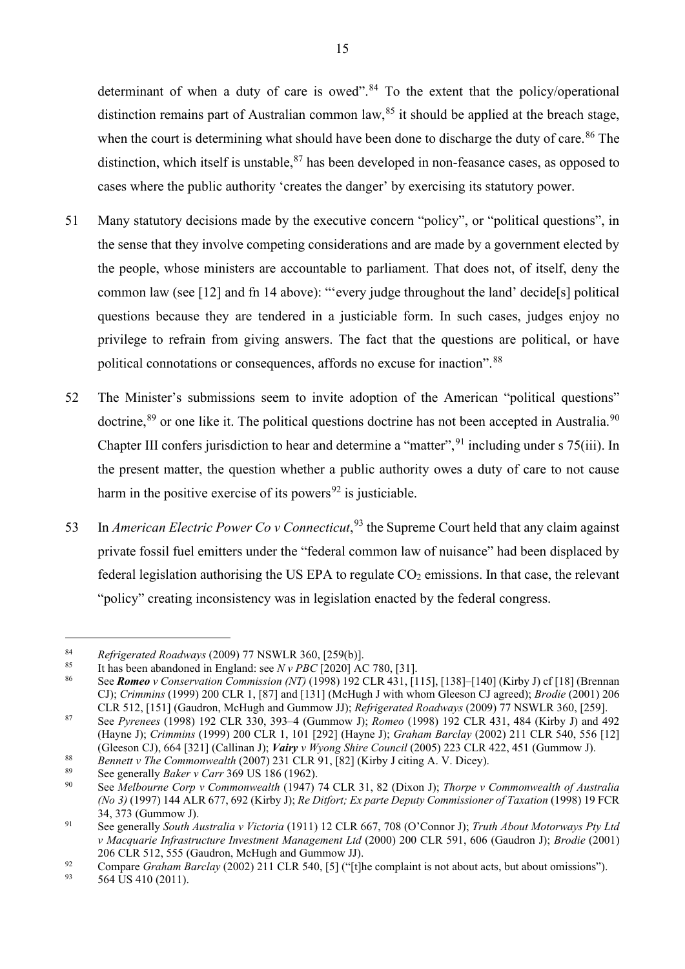determinant of when a duty of care is owed".<sup>[84](#page-16-1)</sup> To the extent that the policy/operational distinction remains part of Australian common law,  $85$  it should be applied at the breach stage, when the court is determining what should have been done to discharge the duty of care.<sup>[86](#page-16-3)</sup> The distinction, which itself is unstable, <sup>[87](#page-16-4)</sup> has been developed in non-feasance cases, as opposed to cases where the public authority 'creates the danger' by exercising its statutory power.

- 51 Many statutory decisions made by the executive concern "policy", or "political questions", in the sense that they involve competing considerations and are made by a government elected by the people, whose ministers are accountable to parliament. That does not, of itself, deny the common law (see [\[12\]](#page-4-2) and fn [14](#page-4-3) above): "'every judge throughout the land' decide[s] political questions because they are tendered in a justiciable form. In such cases, judges enjoy no privilege to refrain from giving answers. The fact that the questions are political, or have political connotations or consequences, affords no excuse for inaction".<sup>[88](#page-16-5)</sup>
- 52 The Minister's submissions seem to invite adoption of the American "political questions" doctrine, <sup>[89](#page-16-6)</sup> or one like it. The political questions doctrine has not been accepted in Australia.<sup>[90](#page-16-7)</sup> Chapter III confers jurisdiction to hear and determine a "matter", <sup>[91](#page-16-8)</sup> including under s 75(iii). In the present matter, the question whether a public authority owes a duty of care to not cause harm in the positive exercise of its powers<sup>[92](#page-16-9)</sup> is justiciable.
- <span id="page-16-0"></span>53 In *American Electric Power Co v Connecticut*,<sup>[93](#page-16-10)</sup> the Supreme Court held that any claim against private fossil fuel emitters under the "federal common law of nuisance" had been displaced by federal legislation authorising the US EPA to regulate  $CO<sub>2</sub>$  emissions. In that case, the relevant "policy" creating inconsistency was in legislation enacted by the federal congress.

<span id="page-16-1"></span><sup>84</sup> *Refrigerated Roadways* (2009) 77 NSWLR 360, [259(b)].

<span id="page-16-2"></span><sup>85</sup> It has been abandoned in England: see  $N v PBC$  [2020] AC 780, [31].

<span id="page-16-3"></span><sup>86</sup> See *Romeo v Conservation Commission (NT)* (1998) 192 CLR 431, [115], [138]–[140] (Kirby J) cf [18] (Brennan CJ); *Crimmins* (1999) 200 CLR 1, [87] and [131] (McHugh J with whom Gleeson CJ agreed); *Brodie* (2001) 206 CLR 512, [151] (Gaudron, McHugh and Gummow JJ); *Refrigerated Roadways* (2009) 77 NSWLR 360, [259].

<span id="page-16-4"></span><sup>87</sup> See *Pyrenees* (1998) 192 CLR 330, 393–4 (Gummow J); *Romeo* (1998) 192 CLR 431, 484 (Kirby J) and 492 (Hayne J); *Crimmins* (1999) 200 CLR 1, 101 [292] (Hayne J); *Graham Barclay* (2002) 211 CLR 540, 556 [12] (Gleeson CJ), 664 [321] (Callinan J); *Vairy v Wyong Shire Council* (2005) 223 CLR 422, 451 (Gummow J).

<span id="page-16-5"></span><sup>88</sup> *Bennett v The Commonwealth* (2007) 231 CLR 91, [82] (Kirby J citing A. V. Dicey).

<span id="page-16-6"></span><sup>&</sup>lt;sup>89</sup> See generally *Baker v Carr* 369 US 186 (1962).

<span id="page-16-7"></span><sup>90</sup> See *Melbourne Corp v Commonwealth* (1947) 74 CLR 31, 82 (Dixon J); *Thorpe v Commonwealth of Australia (No 3)* (1997) 144 ALR 677, 692 (Kirby J); *Re Ditfort; Ex parte Deputy Commissioner of Taxation* (1998) 19 FCR 34, 373 (Gummow J).

<span id="page-16-8"></span><sup>91</sup> See generally *South Australia v Victoria* (1911) 12 CLR 667, 708 (O'Connor J); *Truth About Motorways Pty Ltd v Macquarie Infrastructure Investment Management Ltd* (2000) 200 CLR 591, 606 (Gaudron J); *Brodie* (2001) 206 CLR 512, 555 (Gaudron, McHugh and Gummow JJ).

<span id="page-16-9"></span><sup>&</sup>lt;sup>92</sup> Compare *Graham Barclay* (2002) 211 CLR 540, [5] ("[t]he complaint is not about acts, but about omissions").

<span id="page-16-10"></span><sup>564</sup> US 410 (2011).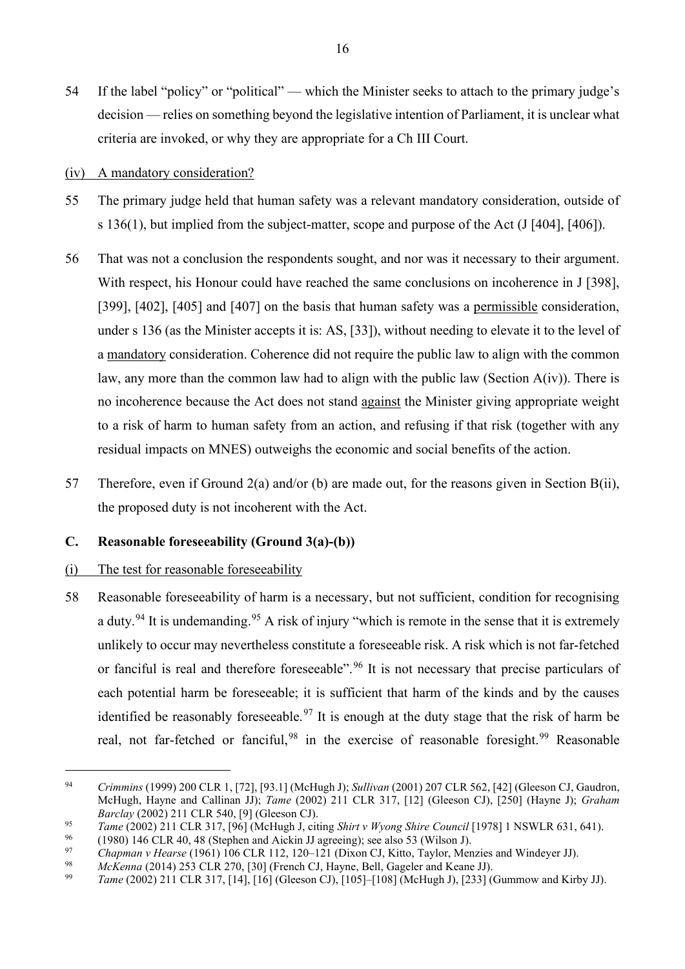- 54 If the label "policy" or "political" which the Minister seeks to attach to the primary judge's decision — relies on something beyond the legislative intention of Parliament, it is unclear what criteria are invoked, or why they are appropriate for a Ch III Court.
- (iv) A mandatory consideration?
- 55 The primary judge held that human safety was a relevant mandatory consideration, outside of s 136(1), but implied from the subject-matter, scope and purpose of the Act (J [404], [406]).
- 56 That was not a conclusion the respondents sought, and nor was it necessary to their argument. With respect, his Honour could have reached the same conclusions on incoherence in J [398], [399], [402], [405] and [407] on the basis that human safety was a permissible consideration, under s 136 (as the Minister accepts it is: AS, [33]), without needing to elevate it to the level of a mandatory consideration. Coherence did not require the public law to align with the common law, any more than the common law had to align with the public law (Section  $A(iv)$ ). There is no incoherence because the Act does not stand against the Minister giving appropriate weight to a risk of harm to human safety from an action, and refusing if that risk (together with any residual impacts on MNES) outweighs the economic and social benefits of the action.
- 57 Therefore, even if Ground 2(a) and/or (b) are made out, for the reasons given in Section B(ii), the proposed duty is not incoherent with the Act.

## <span id="page-17-0"></span>**C. Reasonable foreseeability (Ground 3(a)-(b))**

### (i) The test for reasonable foreseeability

58 Reasonable foreseeability of harm is a necessary, but not sufficient, condition for recognising a duty.<sup>[94](#page-17-1)</sup> It is undemanding.<sup>[95](#page-17-2)</sup> A risk of injury "which is remote in the sense that it is extremely unlikely to occur may nevertheless constitute a foreseeable risk. A risk which is not far-fetched or fanciful is real and therefore foreseeable".<sup>[96](#page-17-3)</sup> It is not necessary that precise particulars of each potential harm be foreseeable; it is sufficient that harm of the kinds and by the causes identified be reasonably foreseeable.<sup>[97](#page-17-4)</sup> It is enough at the duty stage that the risk of harm be real, not far-fetched or fanciful,  $98$  in the exercise of reasonable foresight.  $99$  Reasonable

<span id="page-17-1"></span><sup>94</sup> *Crimmins* (1999) 200 CLR 1, [72], [93.1] (McHugh J); *Sullivan* (2001) 207 CLR 562, [42] (Gleeson CJ, Gaudron, McHugh, Hayne and Callinan JJ); *Tame* (2002) 211 CLR 317, [12] (Gleeson CJ), [250] (Hayne J); *Graham Barclay* (2002) 211 CLR 540, [9] (Gleeson CJ).

<span id="page-17-2"></span><sup>95</sup> *Tame* (2002) 211 CLR 317, [96] (McHugh J, citing *Shirt v Wyong Shire Council* [1978] 1 NSWLR 631, 641).

<sup>96 (1980) 146</sup> CLR 40, 48 (Stephen and Aickin JJ agreeing); see also 53 (Wilson J).<br>97 Channan y Heave (1961) 196 CLB 112, 120, 121 (Diven CJ Kitte, Texter Man

<span id="page-17-5"></span><span id="page-17-4"></span><span id="page-17-3"></span><sup>97</sup> *Chapman v Hearse* (1961) 106 CLR 112, 120–121 (Dixon CJ, Kitto, Taylor, Menzies and Windeyer JJ).

<sup>98</sup> *McKenna* (2014) 253 CLR 270, [30] (French CJ, Hayne, Bell, Gageler and Keane JJ).

<span id="page-17-6"></span><sup>99</sup> *Tame* (2002) 211 CLR 317, [14], [16] (Gleeson CJ), [105]–[108] (McHugh J), [233] (Gummow and Kirby JJ).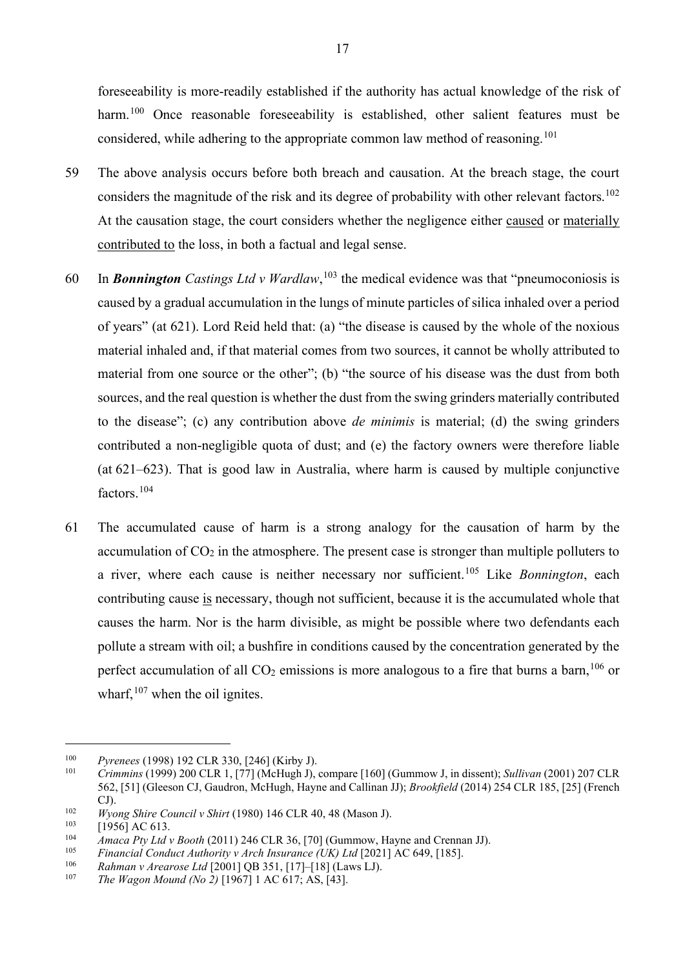foreseeability is more-readily established if the authority has actual knowledge of the risk of harm.<sup>[100](#page-18-0)</sup> Once reasonable foreseeability is established, other salient features must be considered, while adhering to the appropriate common law method of reasoning.<sup>[101](#page-18-1)</sup>

- 59 The above analysis occurs before both breach and causation. At the breach stage, the court considers the magnitude of the risk and its degree of probability with other relevant factors.<sup>[102](#page-18-2)</sup> At the causation stage, the court considers whether the negligence either caused or materially contributed to the loss, in both a factual and legal sense.
- 60 In *Bonnington Castings Ltd v Wardlaw*, [103](#page-18-3) the medical evidence was that "pneumoconiosis is caused by a gradual accumulation in the lungs of minute particles of silica inhaled over a period of years" (at 621). Lord Reid held that: (a) "the disease is caused by the whole of the noxious material inhaled and, if that material comes from two sources, it cannot be wholly attributed to material from one source or the other"; (b) "the source of his disease was the dust from both sources, and the real question is whether the dust from the swing grinders materially contributed to the disease"; (c) any contribution above *de minimis* is material; (d) the swing grinders contributed a non-negligible quota of dust; and (e) the factory owners were therefore liable (at 621–623). That is good law in Australia, where harm is caused by multiple conjunctive factors. [104](#page-18-4)
- 61 The accumulated cause of harm is a strong analogy for the causation of harm by the accumulation of  $CO<sub>2</sub>$  in the atmosphere. The present case is stronger than multiple polluters to a river, where each cause is neither necessary nor sufficient.[105](#page-18-5) Like *Bonnington*, each contributing cause is necessary, though not sufficient, because it is the accumulated whole that causes the harm. Nor is the harm divisible, as might be possible where two defendants each pollute a stream with oil; a bushfire in conditions caused by the concentration generated by the perfect accumulation of all  $CO<sub>2</sub>$  emissions is more analogous to a fire that burns a barn,  $^{106}$  $^{106}$  $^{106}$  or wharf,  $107$  when the oil ignites.

<span id="page-18-0"></span><sup>100</sup> *Pyrenees* (1998) 192 CLR 330, [246] (Kirby J).

<span id="page-18-1"></span><sup>101</sup> *Crimmins* (1999) 200 CLR 1, [77] (McHugh J), compare [160] (Gummow J, in dissent); *Sullivan* (2001) 207 CLR 562, [51] (Gleeson CJ, Gaudron, McHugh, Hayne and Callinan JJ); *Brookfield* (2014) 254 CLR 185, [25] (French  $\overline{CJ}$ ).

<span id="page-18-2"></span><sup>102</sup> *Wyong Shire Council v Shirt* (1980) 146 CLR 40, 48 (Mason J).

<span id="page-18-3"></span> $103 \t\t [1956] \text{AC } 613.$ <br> $104 \t4 \text{mace} \text{Pt} \text{U} \text{td}$ 

<span id="page-18-4"></span><sup>&</sup>lt;sup>104</sup> *Amaca Pty Ltd v Booth* (2011) 246 CLR 36, [70] (Gummow, Hayne and Crennan JJ).<br><sup>105</sup> *Einensial Conduct Authorities Arch Insurance (LIV) 14* [2021] AC 640, [195]

<span id="page-18-5"></span><sup>105</sup> *Financial Conduct Authority v Arch Insurance (UK) Ltd* [2021] AC 649, [185].

<span id="page-18-6"></span><sup>106</sup> *Rahman v Arearose Ltd* [2001] QB 351, [17]–[18] (Laws LJ).

<span id="page-18-7"></span>*The Wagon Mound (No 2)* [1967] 1 AC 617; AS, [43].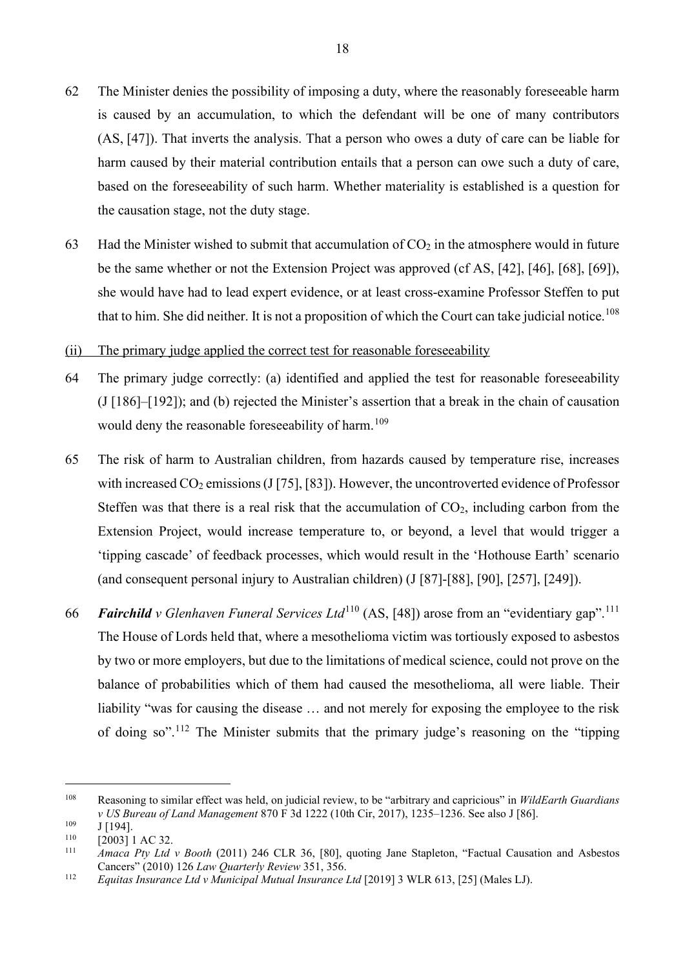- 62 The Minister denies the possibility of imposing a duty, where the reasonably foreseeable harm is caused by an accumulation, to which the defendant will be one of many contributors (AS, [47]). That inverts the analysis. That a person who owes a duty of care can be liable for harm caused by their material contribution entails that a person can owe such a duty of care, based on the foreseeability of such harm. Whether materiality is established is a question for the causation stage, not the duty stage.
- 63 Had the Minister wished to submit that accumulation of  $CO<sub>2</sub>$  in the atmosphere would in future be the same whether or not the Extension Project was approved (cf AS, [42], [46], [68], [69]), she would have had to lead expert evidence, or at least cross-examine Professor Steffen to put that to him. She did neither. It is not a proposition of which the Court can take judicial notice.<sup>[108](#page-19-0)</sup>
- (ii) The primary judge applied the correct test for reasonable foreseeability
- 64 The primary judge correctly: (a) identified and applied the test for reasonable foreseeability (J [186]–[192]); and (b) rejected the Minister's assertion that a break in the chain of causation would deny the reasonable foreseeability of harm.<sup>[109](#page-19-1)</sup>
- 65 The risk of harm to Australian children, from hazards caused by temperature rise, increases with increased  $CO_2$  emissions (J [75], [83]). However, the uncontroverted evidence of Professor Steffen was that there is a real risk that the accumulation of  $CO<sub>2</sub>$ , including carbon from the Extension Project, would increase temperature to, or beyond, a level that would trigger a 'tipping cascade' of feedback processes, which would result in the 'Hothouse Earth' scenario (and consequent personal injury to Australian children) (J [87]-[88], [90], [257], [249]).
- 66 *Fairchild v Glenhaven Funeral Services Ltd*[110](#page-19-2) (AS, [48]) arose from an "evidentiary gap".[111](#page-19-3) The House of Lords held that, where a mesothelioma victim was tortiously exposed to asbestos by two or more employers, but due to the limitations of medical science, could not prove on the balance of probabilities which of them had caused the mesothelioma, all were liable. Their liability "was for causing the disease … and not merely for exposing the employee to the risk of doing so".<sup>[112](#page-19-4)</sup> The Minister submits that the primary judge's reasoning on the "tipping

<span id="page-19-0"></span><sup>108</sup> Reasoning to similar effect was held, on judicial review, to be "arbitrary and capricious" in *WildEarth Guardians v US Bureau of Land Management* 870 F 3d 1222 (10th Cir, 2017), 1235–1236. See also J [86].

<span id="page-19-1"></span> $\frac{109}{110}$  J [194].

<span id="page-19-2"></span> $110$  [2003] 1 AC 32.

<span id="page-19-3"></span><sup>111</sup> *Amaca Pty Ltd v Booth* (2011) 246 CLR 36, [80], quoting Jane Stapleton, "Factual Causation and Asbestos Cancers" (2010) 126 *Law Quarterly Review* 351, 356.

<span id="page-19-4"></span><sup>112</sup> *Equitas Insurance Ltd v Municipal Mutual Insurance Ltd* [2019] 3 WLR 613, [25] (Males LJ).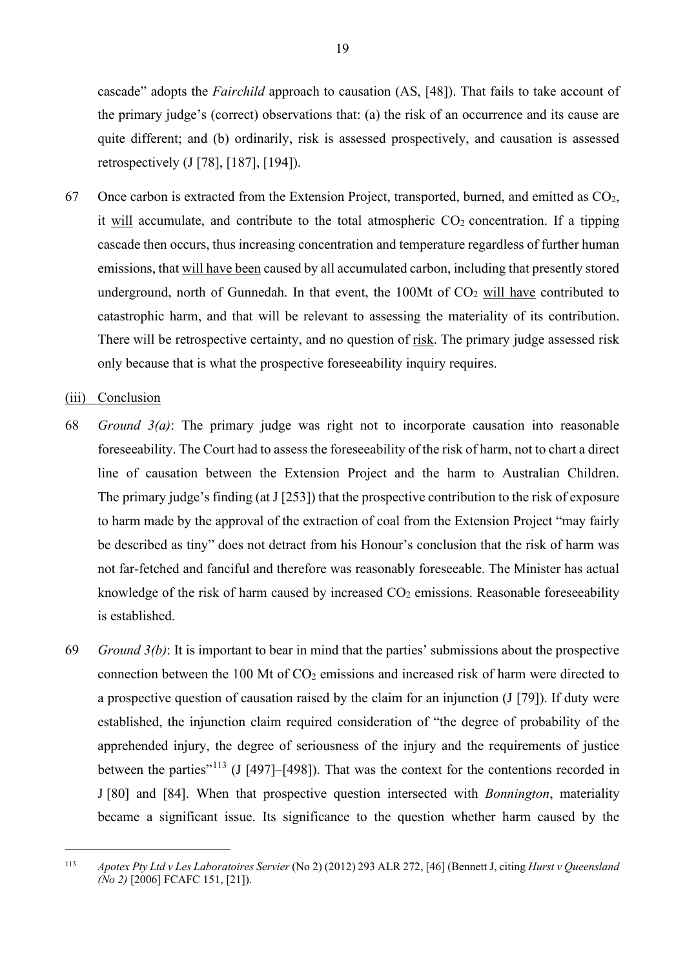cascade" adopts the *Fairchild* approach to causation (AS, [48]). That fails to take account of the primary judge's (correct) observations that: (a) the risk of an occurrence and its cause are quite different; and (b) ordinarily, risk is assessed prospectively, and causation is assessed retrospectively (J [78], [187], [194]).

67 Once carbon is extracted from the Extension Project, transported, burned, and emitted as  $CO<sub>2</sub>$ , it will accumulate, and contribute to the total atmospheric  $CO<sub>2</sub>$  concentration. If a tipping cascade then occurs, thus increasing concentration and temperature regardless of further human emissions, that will have been caused by all accumulated carbon, including that presently stored underground, north of Gunnedah. In that event, the  $100Mt$  of  $CO<sub>2</sub>$  will have contributed to catastrophic harm, and that will be relevant to assessing the materiality of its contribution. There will be retrospective certainty, and no question of risk. The primary judge assessed risk only because that is what the prospective foreseeability inquiry requires.

#### (iii) Conclusion

- 68 *Ground 3(a)*: The primary judge was right not to incorporate causation into reasonable foreseeability. The Court had to assess the foreseeability of the risk of harm, not to chart a direct line of causation between the Extension Project and the harm to Australian Children. The primary judge's finding (at J [253]) that the prospective contribution to the risk of exposure to harm made by the approval of the extraction of coal from the Extension Project "may fairly be described as tiny" does not detract from his Honour's conclusion that the risk of harm was not far-fetched and fanciful and therefore was reasonably foreseeable. The Minister has actual knowledge of the risk of harm caused by increased  $CO<sub>2</sub>$  emissions. Reasonable foreseeability is established.
- 69 *Ground 3(b)*: It is important to bear in mind that the parties' submissions about the prospective connection between the 100 Mt of  $CO<sub>2</sub>$  emissions and increased risk of harm were directed to a prospective question of causation raised by the claim for an injunction (J [79]). If duty were established, the injunction claim required consideration of "the degree of probability of the apprehended injury, the degree of seriousness of the injury and the requirements of justice between the parties"<sup>[113](#page-20-0)</sup> (J [497]–[498]). That was the context for the contentions recorded in J [80] and [84]. When that prospective question intersected with *Bonnington*, materiality became a significant issue. Its significance to the question whether harm caused by the

<span id="page-20-0"></span><sup>113</sup> *Apotex Pty Ltd v Les Laboratoires Servier* (No 2) (2012) 293 ALR 272, [46] (Bennett J, citing *Hurst v Queensland (No 2)* [2006] FCAFC 151, [21]).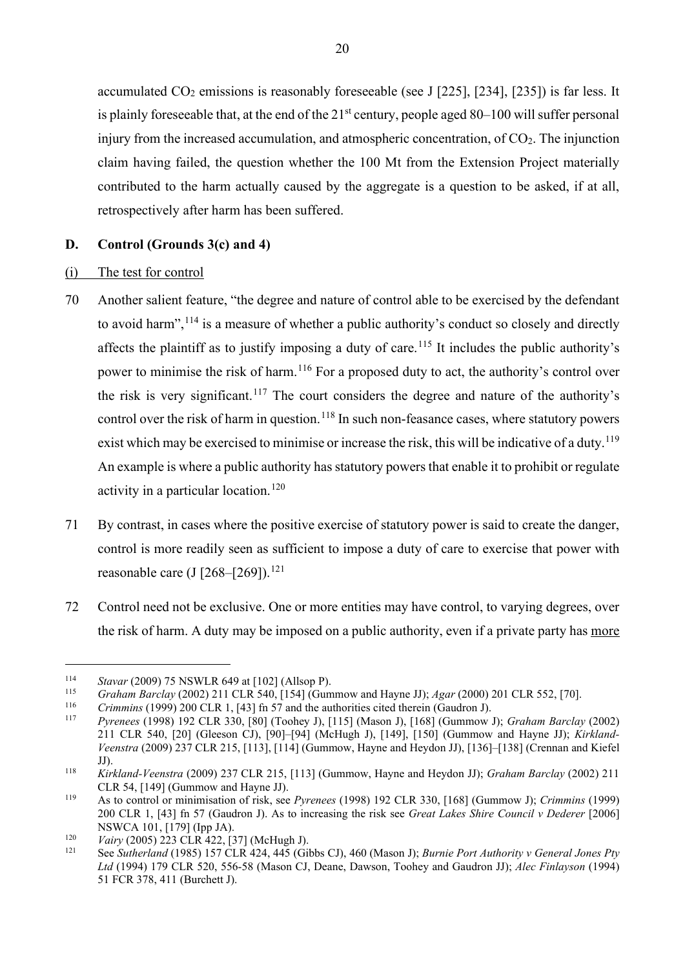accumulated  $CO<sub>2</sub>$  emissions is reasonably foreseeable (see J [225], [234], [235]) is far less. It is plainly foreseeable that, at the end of the  $21<sup>st</sup>$  century, people aged 80–100 will suffer personal injury from the increased accumulation, and atmospheric concentration, of  $CO<sub>2</sub>$ . The injunction claim having failed, the question whether the 100 Mt from the Extension Project materially contributed to the harm actually caused by the aggregate is a question to be asked, if at all, retrospectively after harm has been suffered.

### <span id="page-21-0"></span>**D. Control (Grounds 3(c) and 4)**

#### (i) The test for control

- 70 Another salient feature, "the degree and nature of control able to be exercised by the defendant to avoid harm",<sup>[114](#page-21-1)</sup> is a measure of whether a public authority's conduct so closely and directly affects the plaintiff as to justify imposing a duty of care.<sup>[115](#page-21-2)</sup> It includes the public authority's power to minimise the risk of harm.<sup>[116](#page-21-3)</sup> For a proposed duty to act, the authority's control over the risk is very significant.<sup>[117](#page-21-4)</sup> The court considers the degree and nature of the authority's control over the risk of harm in question.<sup>[118](#page-21-5)</sup> In such non-feasance cases, where statutory powers exist which may be exercised to minimise or increase the risk, this will be indicative of a duty.<sup>[119](#page-21-6)</sup> An example is where a public authority has statutory powers that enable it to prohibit or regulate activity in a particular location.<sup>[120](#page-21-7)</sup>
- 71 By contrast, in cases where the positive exercise of statutory power is said to create the danger, control is more readily seen as sufficient to impose a duty of care to exercise that power with reasonable care (J  $[268-[269])$ .<sup>[121](#page-21-8)</sup>
- 72 Control need not be exclusive. One or more entities may have control, to varying degrees, over the risk of harm. A duty may be imposed on a public authority, even if a private party has more

<span id="page-21-2"></span><span id="page-21-1"></span><sup>&</sup>lt;sup>114</sup> *Stavar* (2009) 75 NSWLR 649 at [102] (Allsop P).<br> *Graham Barclay* (2002) 211 CLR 540, [154] (Gummow and Hayne JJ); *Agar* (2000) 201 CLR 552, [70].<br> *Crimmins* (1999) 200 CLR 1, [43] fh 57 and the authorities cite

<span id="page-21-3"></span>

<span id="page-21-4"></span><sup>117</sup> *Pyrenees* (1998) 192 CLR 330, [80] (Toohey J), [115] (Mason J), [168] (Gummow J); *Graham Barclay* (2002) 211 CLR 540, [20] (Gleeson CJ), [90]–[94] (McHugh J), [149], [150] (Gummow and Hayne JJ); *Kirkland-Veenstra* (2009) 237 CLR 215, [113], [114] (Gummow, Hayne and Heydon JJ), [136]–[138] (Crennan and Kiefel JJ).

<span id="page-21-5"></span><sup>118</sup> *Kirkland-Veenstra* (2009) 237 CLR 215, [113] (Gummow, Hayne and Heydon JJ); *Graham Barclay* (2002) 211

<span id="page-21-6"></span><sup>&</sup>lt;sup>119</sup> As to control or minimisation of risk, see *Pyrenees* (1998) 192 CLR 330, [168] (Gummow J); *Crimmins* (1999) 200 CLR 1, [43] fn 57 (Gaudron J). As to increasing the risk see *Great Lakes Shire Council v Dederer* [2006] NSWCA 101, [179] (Ipp JA).

<span id="page-21-8"></span><span id="page-21-7"></span><sup>120</sup> *Vairy* (2005) 223 CLR 422, [37] (McHugh J).

<sup>121</sup> See *Sutherland* (1985) 157 CLR 424, 445 (Gibbs CJ), 460 (Mason J); *Burnie Port Authority v General Jones Pty Ltd* (1994) 179 CLR 520, 556-58 (Mason CJ, Deane, Dawson, Toohey and Gaudron JJ); *Alec Finlayson* (1994) 51 FCR 378, 411 (Burchett J).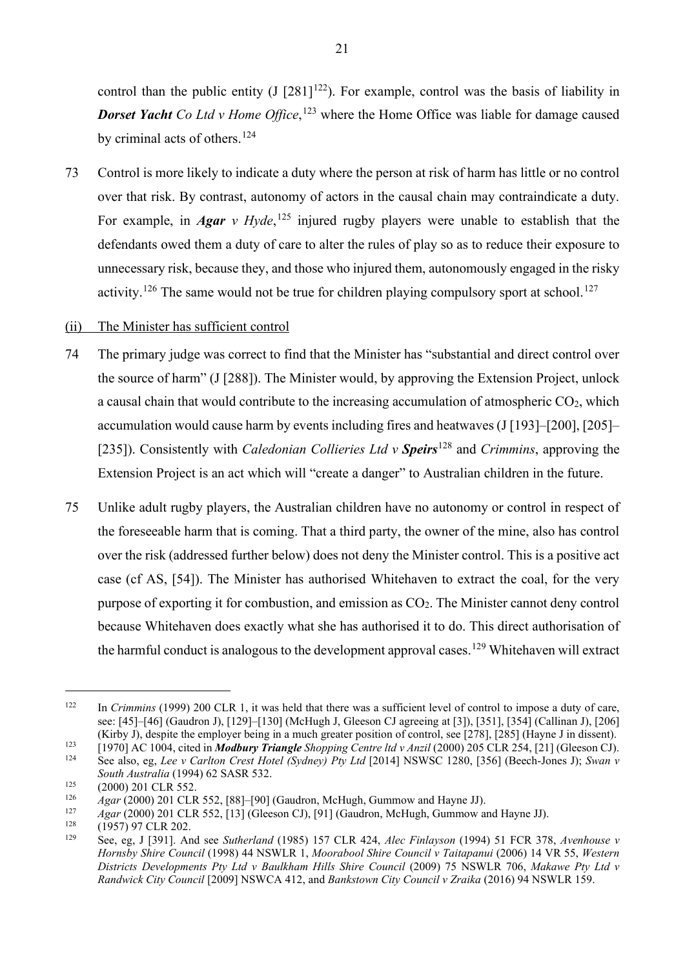control than the public entity  $(J [281]^{122})$ . For example, control was the basis of liability in **Dorset Yacht** Co Ltd v Home Office,<sup>[123](#page-22-1)</sup> where the Home Office was liable for damage caused by criminal acts of others. [124](#page-22-2)

73 Control is more likely to indicate a duty where the person at risk of harm has little or no control over that risk. By contrast, autonomy of actors in the causal chain may contraindicate a duty. For example, in *Agar v Hyde*,<sup>[125](#page-22-3)</sup> injured rugby players were unable to establish that the defendants owed them a duty of care to alter the rules of play so as to reduce their exposure to unnecessary risk, because they, and those who injured them, autonomously engaged in the risky activity.<sup>[126](#page-22-4)</sup> The same would not be true for children playing compulsory sport at school.<sup>[127](#page-22-5)</sup>

#### (ii) The Minister has sufficient control

- 74 The primary judge was correct to find that the Minister has "substantial and direct control over the source of harm" (J [288]). The Minister would, by approving the Extension Project, unlock a causal chain that would contribute to the increasing accumulation of atmospheric  $CO<sub>2</sub>$ , which accumulation would cause harm by events including fires and heatwaves (J [193]–[200], [205]– [235]). Consistently with *Caledonian Collieries Ltd v Speirs*[128](#page-22-6) and *Crimmins*, approving the Extension Project is an act which will "create a danger" to Australian children in the future.
- 75 Unlike adult rugby players, the Australian children have no autonomy or control in respect of the foreseeable harm that is coming. That a third party, the owner of the mine, also has control over the risk (addressed further below) does not deny the Minister control. This is a positive act case (cf AS, [54]). The Minister has authorised Whitehaven to extract the coal, for the very purpose of exporting it for combustion, and emission as CO2. The Minister cannot deny control because Whitehaven does exactly what she has authorised it to do. This direct authorisation of the harmful conduct is analogous to the development approval cases. <sup>[129](#page-22-7)</sup> Whitehaven will extract

<span id="page-22-0"></span><sup>&</sup>lt;sup>122</sup> In *Crimmins* (1999) 200 CLR 1, it was held that there was a sufficient level of control to impose a duty of care, see: [45]–[46] (Gaudron J), [129]–[130] (McHugh J, Gleeson CJ agreeing at [3]), [351], [354] (Callinan J), [206] (Kirby J), despite the employer being in a much greater position of control, see [278], [285] (Hayne J in dis

<span id="page-22-1"></span><sup>&</sup>lt;sup>123</sup> [1970] AC 1004, cited in **Modbury Triangle** Shopping Centre ltd v Anzil (2000) 205 CLR 254, [21] (Gleeson CJ).

<span id="page-22-2"></span><sup>124</sup> See also, eg, *Lee v Carlton Crest Hotel (Sydney) Pty Ltd* [2014] NSWSC 1280, [356] (Beech‐Jones J); *Swan v South Australia* (1994) 62 SASR 532.

<span id="page-22-3"></span><sup>&</sup>lt;sup>125</sup> (2000) 201 CLR 552.<br><sup>126</sup> *Agar* (2000) 201 CLR 552, [88]–[90] (Gaudron, McHugh, Gummow and Hayne JJ).

<span id="page-22-5"></span><span id="page-22-4"></span><sup>&</sup>lt;sup>127</sup> *Agar* (2000) 201 CLR 552, [13] (Gleeson CJ), [91] (Gaudron, McHugh, Gummow and Hayne JJ).

<span id="page-22-7"></span><span id="page-22-6"></span> $^{128}$  (1957) 97 CLR 202.<br> $^{129}$  See eq. 1.13911 Ar

<sup>129</sup> See, eg, J [391]. And see *Sutherland* (1985) 157 CLR 424, *Alec Finlayson* (1994) 51 FCR 378, *Avenhouse v Hornsby Shire Council* (1998) 44 NSWLR 1, *Moorabool Shire Council v Taitapanui* (2006) 14 VR 55, *Western Districts Developments Pty Ltd v Baulkham Hills Shire Council* (2009) 75 NSWLR 706, *Makawe Pty Ltd v Randwick City Council* [2009] NSWCA 412, and *Bankstown City Council v Zraika* (2016) 94 NSWLR 159.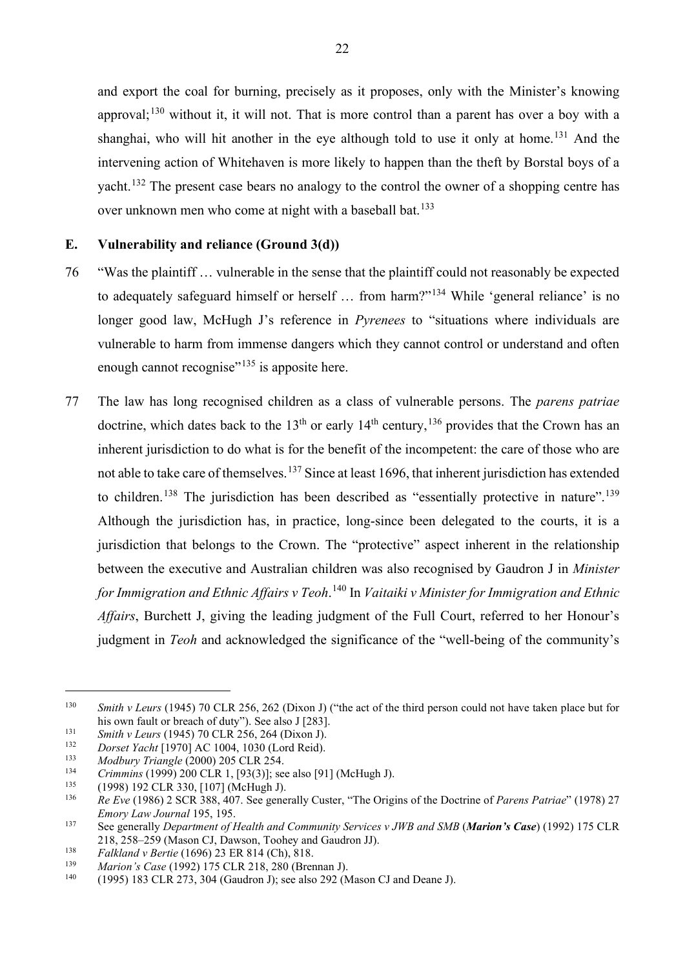and export the coal for burning, precisely as it proposes, only with the Minister's knowing approval;<sup>[130](#page-23-1)</sup> without it, it will not. That is more control than a parent has over a boy with a shanghai, who will hit another in the eye although told to use it only at home.<sup>[131](#page-23-2)</sup> And the intervening action of Whitehaven is more likely to happen than the theft by Borstal boys of a yacht.<sup>[132](#page-23-3)</sup> The present case bears no analogy to the control the owner of a shopping centre has over unknown men who come at night with a baseball bat.<sup>[133](#page-23-4)</sup>

#### <span id="page-23-0"></span>**E. Vulnerability and reliance (Ground 3(d))**

- 76 "Was the plaintiff … vulnerable in the sense that the plaintiff could not reasonably be expected to adequately safeguard himself or herself … from harm?"[134](#page-23-5) While 'general reliance' is no longer good law, McHugh J's reference in *Pyrenees* to "situations where individuals are vulnerable to harm from immense dangers which they cannot control or understand and often enough cannot recognise"<sup>[135](#page-23-6)</sup> is apposite here.
- 77 The law has long recognised children as a class of vulnerable persons. The *parens patriae*  doctrine, which dates back to the  $13<sup>th</sup>$  or early  $14<sup>th</sup>$  century,  $13<sup>6</sup>$  provides that the Crown has an inherent jurisdiction to do what is for the benefit of the incompetent: the care of those who are not able to take care of themselves.<sup>[137](#page-23-8)</sup> Since at least 1696, that inherent jurisdiction has extended to children.<sup>[138](#page-23-9)</sup> The jurisdiction has been described as "essentially protective in nature".<sup>[139](#page-23-10)</sup> Although the jurisdiction has, in practice, long-since been delegated to the courts, it is a jurisdiction that belongs to the Crown. The "protective" aspect inherent in the relationship between the executive and Australian children was also recognised by Gaudron J in *Minister for Immigration and Ethnic Affairs v Teoh*. [140](#page-23-11) In *Vaitaiki v Minister for Immigration and Ethnic Affairs*, Burchett J, giving the leading judgment of the Full Court, referred to her Honour's judgment in *Teoh* and acknowledged the significance of the "well-being of the community's

<span id="page-23-1"></span><sup>130</sup> *Smith v Leurs* (1945) 70 CLR 256, 262 (Dixon J) ("the act of the third person could not have taken place but for his own fault or breach of duty"). See also J [283].

<span id="page-23-2"></span><sup>131</sup> *Smith v Leurs* (1945) 70 CLR 256, 264 (Dixon J).

<span id="page-23-3"></span><sup>132</sup> *Dorset Yacht* [1970] AC 1004, 1030 (Lord Reid).<br>133 Madhun: Triangle (2000) 205 CLB 254.

<span id="page-23-4"></span><sup>133</sup> *Modbury Triangle* (2000) 205 CLR 254.

<span id="page-23-5"></span><sup>&</sup>lt;sup>134</sup> *Crimmins* (1999) 200 CLR 1, [93(3)]; see also [91] (McHugh J).<br>
(1998) 192 CLR 330, [107] (McHugh J).<br>
<sup>136</sup> Pe Fue (1986) 2 SCR 388, 407, See generally Custer, "The Origi

<span id="page-23-6"></span>

<span id="page-23-7"></span><sup>136</sup> *Re Eve* (1986) 2 SCR 388, 407. See generally Custer, "The Origins of the Doctrine of *Parens Patriae*" (1978) 27 *Emory Law Journal* 195, 195.

<span id="page-23-8"></span><sup>137</sup> See generally *Department of Health and Community Services v JWB and SMB* (*Marion's Case*) (1992) 175 CLR 218, 258–259 (Mason CJ, Dawson, Toohey and Gaudron JJ).<br>Falkland v Bertie (1696) 23 ER 814 (Ch), 818.

<span id="page-23-10"></span><span id="page-23-9"></span><sup>138</sup> *Falkland v Bertie* (1696) 23 ER 814 (Ch), 818. 139 *Marion's Case* (1992) 175 CLR 218, 280 (Brennan J).

<span id="page-23-11"></span><sup>140</sup> (1995) 183 CLR 273, 304 (Gaudron J); see also 292 (Mason CJ and Deane J).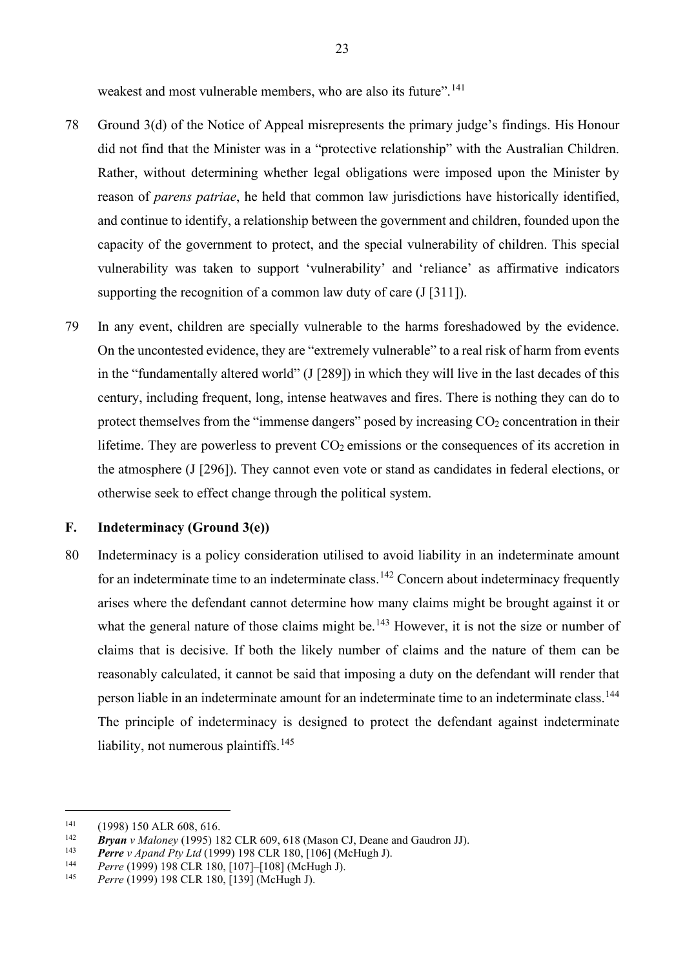weakest and most vulnerable members, who are also its future".<sup>[141](#page-24-1)</sup>

- 78 Ground 3(d) of the Notice of Appeal misrepresents the primary judge's findings. His Honour did not find that the Minister was in a "protective relationship" with the Australian Children. Rather, without determining whether legal obligations were imposed upon the Minister by reason of *parens patriae*, he held that common law jurisdictions have historically identified, and continue to identify, a relationship between the government and children, founded upon the capacity of the government to protect, and the special vulnerability of children. This special vulnerability was taken to support 'vulnerability' and 'reliance' as affirmative indicators supporting the recognition of a common law duty of care  $(I [311])$ .
- 79 In any event, children are specially vulnerable to the harms foreshadowed by the evidence. On the uncontested evidence, they are "extremely vulnerable" to a real risk of harm from events in the "fundamentally altered world" (J [289]) in which they will live in the last decades of this century, including frequent, long, intense heatwaves and fires. There is nothing they can do to protect themselves from the "immense dangers" posed by increasing  $CO<sub>2</sub>$  concentration in their lifetime. They are powerless to prevent  $CO<sub>2</sub>$  emissions or the consequences of its accretion in the atmosphere (J [296]). They cannot even vote or stand as candidates in federal elections, or otherwise seek to effect change through the political system.

### <span id="page-24-0"></span>**F. Indeterminacy (Ground 3(e))**

80 Indeterminacy is a policy consideration utilised to avoid liability in an indeterminate amount for an indeterminate time to an indeterminate class.<sup>[142](#page-24-2)</sup> Concern about indeterminacy frequently arises where the defendant cannot determine how many claims might be brought against it or what the general nature of those claims might be.<sup>[143](#page-24-3)</sup> However, it is not the size or number of claims that is decisive. If both the likely number of claims and the nature of them can be reasonably calculated, it cannot be said that imposing a duty on the defendant will render that person liable in an indeterminate amount for an indeterminate time to an indeterminate class.<sup>[144](#page-24-4)</sup> The principle of indeterminacy is designed to protect the defendant against indeterminate liability, not numerous plaintiffs.<sup>[145](#page-24-5)</sup>

<span id="page-24-1"></span><sup>&</sup>lt;sup>141</sup> (1998) 150 ALR 608, 616.

<span id="page-24-2"></span><sup>142</sup> *Bryan v Maloney* (1995) 182 CLR 609, 618 (Mason CJ, Deane and Gaudron JJ).

<span id="page-24-3"></span><sup>143</sup> *Perre v Apand Pty Ltd* (1999) 198 CLR 180, [106] (McHugh J).

<span id="page-24-4"></span><sup>144</sup> *Perre* (1999) 198 CLR 180, [107]–[108] (McHugh J).

<span id="page-24-5"></span>Perre (1999) 198 CLR 180, [139] (McHugh J).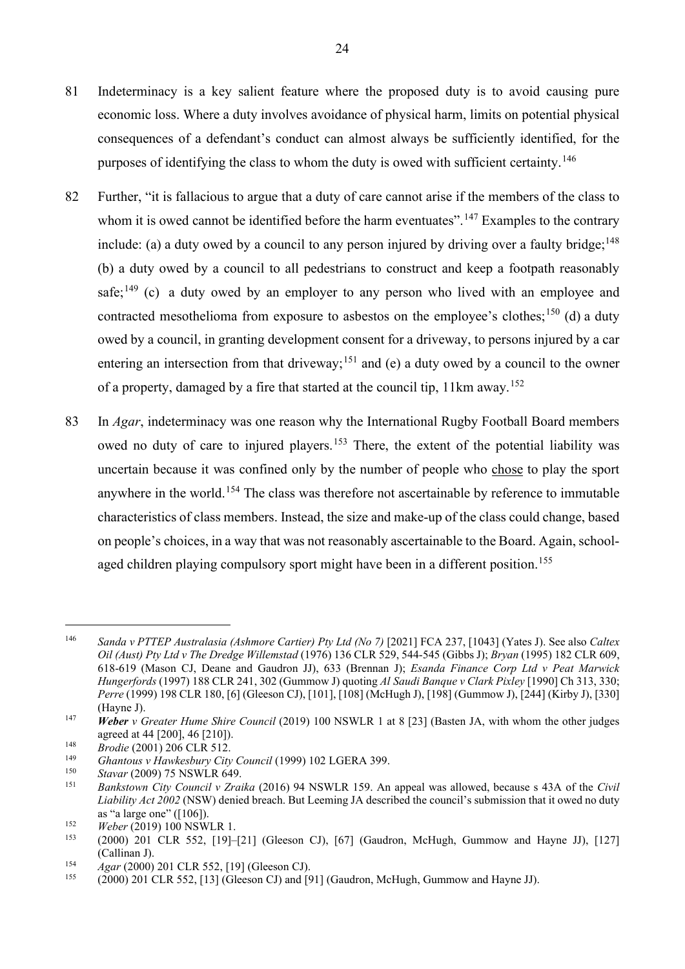- 81 Indeterminacy is a key salient feature where the proposed duty is to avoid causing pure economic loss. Where a duty involves avoidance of physical harm, limits on potential physical consequences of a defendant's conduct can almost always be sufficiently identified, for the purposes of identifying the class to whom the duty is owed with sufficient certainty.<sup>[146](#page-25-0)</sup>
- 82 Further, "it is fallacious to argue that a duty of care cannot arise if the members of the class to whom it is owed cannot be identified before the harm eventuates".<sup>[147](#page-25-1)</sup> Examples to the contrary include: (a) a duty owed by a council to any person injured by driving over a faulty bridge;  $148$ (b) a duty owed by a council to all pedestrians to construct and keep a footpath reasonably safe; $^{149}$  $^{149}$  $^{149}$  (c) a duty owed by an employer to any person who lived with an employee and contracted mesothelioma from exposure to asbestos on the employee's clothes;<sup>[150](#page-25-4)</sup> (d) a duty owed by a council, in granting development consent for a driveway, to persons injured by a car entering an intersection from that driveway;<sup>[151](#page-25-5)</sup> and (e) a duty owed by a council to the owner of a property, damaged by a fire that started at the council tip, 11km away.<sup>[152](#page-25-6)</sup>
- 83 In *Agar*, indeterminacy was one reason why the International Rugby Football Board members owed no duty of care to injured players.<sup>[153](#page-25-7)</sup> There, the extent of the potential liability was uncertain because it was confined only by the number of people who chose to play the sport anywhere in the world.<sup>[154](#page-25-8)</sup> The class was therefore not ascertainable by reference to immutable characteristics of class members. Instead, the size and make-up of the class could change, based on people's choices, in a way that was not reasonably ascertainable to the Board. Again, school-aged children playing compulsory sport might have been in a different position.<sup>[155](#page-25-9)</sup>

<span id="page-25-0"></span><sup>146</sup> *Sanda v PTTEP Australasia (Ashmore Cartier) Pty Ltd (No 7)* [2021] FCA 237, [1043] (Yates J). See also *Caltex Oil (Aust) Pty Ltd v The Dredge Willemstad* (1976) 136 CLR 529, 544-545 (Gibbs J); *Bryan* (1995) 182 CLR 609, 618-619 (Mason CJ, Deane and Gaudron JJ), 633 (Brennan J); *Esanda Finance Corp Ltd v Peat Marwick Hungerfords* (1997) 188 CLR 241, 302 (Gummow J) quoting *Al Saudi Banque v Clark Pixley* [1990] Ch 313, 330; *Perre* (1999) 198 CLR 180, [6] (Gleeson CJ), [101], [108] (McHugh J), [198] (Gummow J), [244] (Kirby J), [330] (Hayne J).

<span id="page-25-1"></span><sup>147</sup> *Weber v Greater Hume Shire Council* (2019) 100 NSWLR 1 at 8 [23] (Basten JA, with whom the other judges agreed at 44 [200], 46 [210]).

<span id="page-25-2"></span><sup>148</sup> *Brodie* (2001) 206 CLR 512.

<span id="page-25-3"></span><sup>149</sup> *Ghantous v Hawkesbury City Council* (1999) 102 LGERA 399.

<span id="page-25-4"></span><sup>&</sup>lt;sup>150</sup> *Stavar* (2009) 75 NSWLR 649.<br><sup>151</sup> *Bankstown City Council y Zray* 

<span id="page-25-5"></span><sup>151</sup> *Bankstown City Council v Zraika* (2016) 94 NSWLR 159. An appeal was allowed, because s 43A of the *Civil Liability Act 2002* (NSW) denied breach. But Leeming JA described the council's submission that it owed no duty as "a large one" ([106]).

<span id="page-25-6"></span><sup>&</sup>lt;sup>152</sup> *Weber* (2019) 100 NSWLR 1.<br><sup>153</sup> (2000) 201 CLR 552 [10]

<span id="page-25-7"></span><sup>153</sup> (2000) 201 CLR 552, [19]–[21] (Gleeson CJ), [67] (Gaudron, McHugh, Gummow and Hayne JJ), [127] (Callinan J).

<span id="page-25-8"></span><sup>154</sup> *Agar* (2000) 201 CLR 552, [19] (Gleeson CJ).

<span id="page-25-9"></span> $(2000)$  201 CLR 552, [13] (Gleeson CJ) and [91] (Gaudron, McHugh, Gummow and Hayne JJ).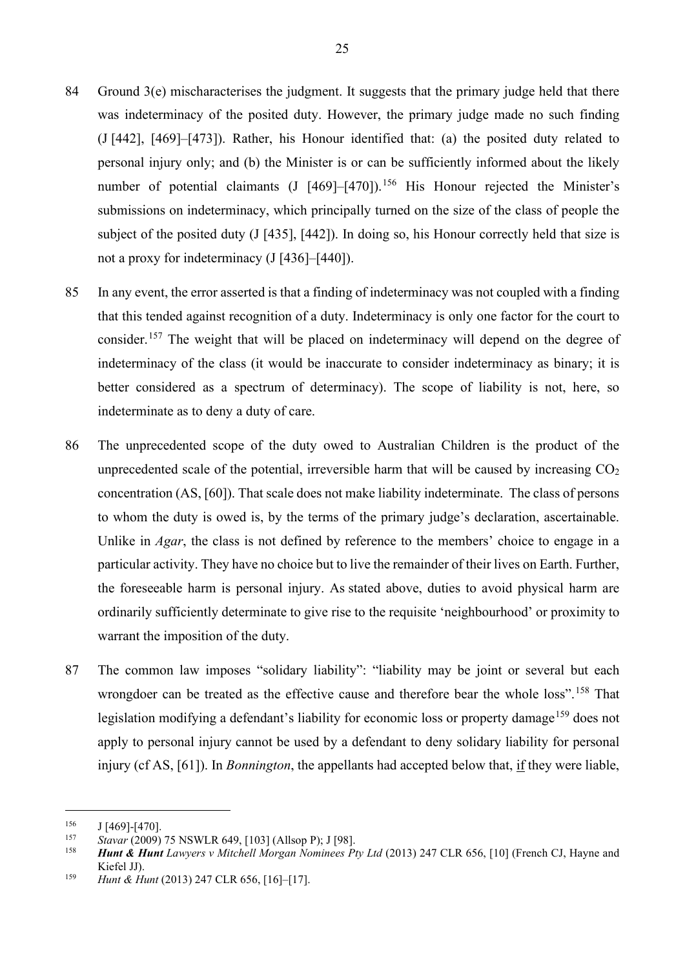- 84 Ground 3(e) mischaracterises the judgment. It suggests that the primary judge held that there was indeterminacy of the posited duty. However, the primary judge made no such finding (J [442], [469]–[473]). Rather, his Honour identified that: (a) the posited duty related to personal injury only; and (b) the Minister is or can be sufficiently informed about the likely number of potential claimants (J [469]–[470]).<sup>[156](#page-26-0)</sup> His Honour rejected the Minister's submissions on indeterminacy, which principally turned on the size of the class of people the subject of the posited duty (J [435], [442]). In doing so, his Honour correctly held that size is not a proxy for indeterminacy (J [436]–[440]).
- 85 In any event, the error asserted is that a finding of indeterminacy was not coupled with a finding that this tended against recognition of a duty. Indeterminacy is only one factor for the court to consider.<sup>[157](#page-26-1)</sup> The weight that will be placed on indeterminacy will depend on the degree of indeterminacy of the class (it would be inaccurate to consider indeterminacy as binary; it is better considered as a spectrum of determinacy). The scope of liability is not, here, so indeterminate as to deny a duty of care.
- 86 The unprecedented scope of the duty owed to Australian Children is the product of the unprecedented scale of the potential, irreversible harm that will be caused by increasing  $CO<sub>2</sub>$ concentration (AS, [60]). That scale does not make liability indeterminate. The class of persons to whom the duty is owed is, by the terms of the primary judge's declaration, ascertainable. Unlike in *Agar*, the class is not defined by reference to the members' choice to engage in a particular activity. They have no choice but to live the remainder of their lives on Earth. Further, the foreseeable harm is personal injury. As stated above, duties to avoid physical harm are ordinarily sufficiently determinate to give rise to the requisite 'neighbourhood' or proximity to warrant the imposition of the duty.
- 87 The common law imposes "solidary liability": "liability may be joint or several but each wrongdoer can be treated as the effective cause and therefore bear the whole loss".<sup>[158](#page-26-2)</sup> That legislation modifying a defendant's liability for economic loss or property damage<sup>[159](#page-26-3)</sup> does not apply to personal injury cannot be used by a defendant to deny solidary liability for personal injury (cf AS, [61]). In *Bonnington*, the appellants had accepted below that, if they were liable,

<span id="page-26-1"></span><span id="page-26-0"></span>

<sup>&</sup>lt;sup>156</sup> J [469]-[470].<br><sup>157</sup> Stavar (2009) 75 NSWLR 649, [103] (Allson P): J [98].

<span id="page-26-2"></span><sup>&</sup>lt;sup>158</sup> **Hunt & Hunt** Lawyers v Mitchell Morgan Nominees Pty Ltd (2013) 247 CLR 656, [10] (French CJ, Hayne and Kiefel JJ).

<span id="page-26-3"></span><sup>159</sup> *Hunt & Hunt* (2013) 247 CLR 656, [16]–[17].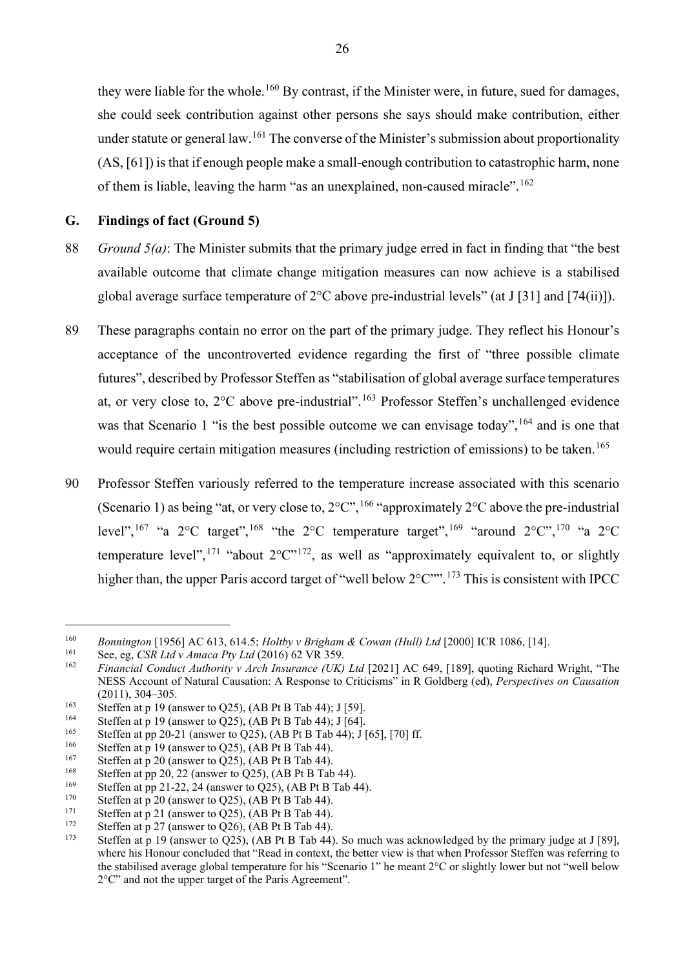they were liable for the whole.<sup>[160](#page-27-1)</sup> By contrast, if the Minister were, in future, sued for damages, she could seek contribution against other persons she says should make contribution, either under statute or general law. <sup>[161](#page-27-2)</sup> The converse of the Minister's submission about proportionality (AS, [61]) is that if enough people make a small-enough contribution to catastrophic harm, none of them is liable, leaving the harm "as an unexplained, non-caused miracle".<sup>[162](#page-27-3)</sup>

## <span id="page-27-0"></span>**G. Findings of fact (Ground 5)**

- 88 *Ground 5(a)*: The Minister submits that the primary judge erred in fact in finding that "the best available outcome that climate change mitigation measures can now achieve is a stabilised global average surface temperature of 2°C above pre-industrial levels" (at J [31] and [74(ii)]).
- 89 These paragraphs contain no error on the part of the primary judge. They reflect his Honour's acceptance of the uncontroverted evidence regarding the first of "three possible climate futures", described by Professor Steffen as "stabilisation of global average surface temperatures at, or very close to,  $2^{\circ}$ C above pre-industrial".<sup>[163](#page-27-4)</sup> Professor Steffen's unchallenged evidence was that Scenario 1 "is the best possible outcome we can envisage today",<sup>[164](#page-27-5)</sup> and is one that would require certain mitigation measures (including restriction of emissions) to be taken. [165](#page-27-6)
- 90 Professor Steffen variously referred to the temperature increase associated with this scenario (Scenario 1) as being "at, or very close to,  $2^{\circ}$ C",  $^{166}$  $^{166}$  $^{166}$  "approximately  $2^{\circ}$ C above the pre-industrial level",<sup>[167](#page-27-8)</sup> "a 2°C target",<sup>[168](#page-27-9)</sup> "the 2°C temperature target",<sup>[169](#page-27-10)</sup> "around 2°C",<sup>[170](#page-27-11)</sup> "a 2°C temperature level", <sup>[171](#page-27-12)</sup> "about  $2^{\circ}$ C"<sup>172</sup>, as well as "approximately equivalent to, or slightly higher than, the upper Paris accord target of "well below  $2^{\circ}$ C"".<sup>[173](#page-27-14)</sup> This is consistent with IPCC

<span id="page-27-1"></span><sup>160</sup> *Bonnington* [1956] AC 613, 614.5; *Holtby v Brigham & Cowan (Hull) Ltd* [2000] ICR 1086, [14].

<span id="page-27-2"></span><sup>161</sup> See, eg, *CSR Ltd v Amaca Pty Ltd* (2016) 62 VR 359.

<span id="page-27-3"></span><sup>162</sup> *Financial Conduct Authority v Arch Insurance (UK) Ltd* [2021] AC 649, [189], quoting Richard Wright, "The NESS Account of Natural Causation: A Response to Criticisms" in R Goldberg (ed), *Perspectives on Causation* (2011), 304–305.<br>
Steffen at p 19 (answer to Q25), (AB Pt B Tab 44); J [59].<br>
Steffen at p 10 (converte Q25), (AB Pt B Tab 44); J [54]

<span id="page-27-4"></span>

<span id="page-27-5"></span><sup>&</sup>lt;sup>164</sup> Steffen at p 19 (answer to Q25), (AB Pt B Tab 44); J [64].<br><sup>165</sup> Steffen at pp 20.21 (answer to Q25), (AB Pt B Tab 44); J [

<span id="page-27-6"></span><sup>&</sup>lt;sup>165</sup> Steffen at pp 20-21 (answer to Q25), (AB Pt B Tab 44); J [65], [70] ff.<br><sup>166</sup> Steffen at p.10 (answer to Q25), (AB Pt B Tab 44)

<span id="page-27-7"></span><sup>&</sup>lt;sup>166</sup> Steffen at p 19 (answer to Q25), (AB Pt B Tab 44).<br><sup>167</sup> Steffen at p 20 (answer to Q25), (AB Pt B Tab 44).

<span id="page-27-8"></span><sup>&</sup>lt;sup>167</sup> Steffen at p 20 (answer to Q25), (AB Pt B Tab 44).<br><sup>168</sup> Steffen at pp 20, 22 (answer to Q25), (AB Pt B Tab

<span id="page-27-9"></span><sup>&</sup>lt;sup>168</sup> Steffen at pp 20, 22 (answer to Q25), (AB Pt B Tab 44).<br><sup>169</sup> Steffen at pp 21.22.24 (answer to Q25), (AB Pt B Tab 4

<span id="page-27-10"></span><sup>&</sup>lt;sup>169</sup> Steffen at pp 21-22, 24 (answer to Q25), (AB Pt B Tab 44).<br><sup>170</sup> Steffen at p. 20 (answer to Q25), (AB Pt B Tab 44).

<span id="page-27-11"></span><sup>&</sup>lt;sup>170</sup> Steffen at p 20 (answer to Q25), (AB Pt B Tab 44).<br><sup>171</sup> Steffen at p 21 (answer to Q25), (AB Pt B Tab 44).

<span id="page-27-12"></span><sup>&</sup>lt;sup>171</sup> Steffen at p 21 (answer to Q25), (AB Pt B Tab 44).<br><sup>172</sup> Steffen at p 27 (answer to Q26), (AB Pt B Tab 44).

<span id="page-27-13"></span><sup>&</sup>lt;sup>172</sup> Steffen at p 27 (answer to Q26), (AB Pt B Tab 44).<br><sup>173</sup> Steffen at p 19 (answer to Q25), (AB Pt B Tab 44).

<span id="page-27-14"></span>Steffen at p 19 (answer to  $\tilde{Q}25$ ), (AB Pt B Tab 44). So much was acknowledged by the primary judge at J [89], where his Honour concluded that "Read in context, the better view is that when Professor Steffen was referring to the stabilised average global temperature for his "Scenario 1" he meant 2°C or slightly lower but not "well below 2°C" and not the upper target of the Paris Agreement".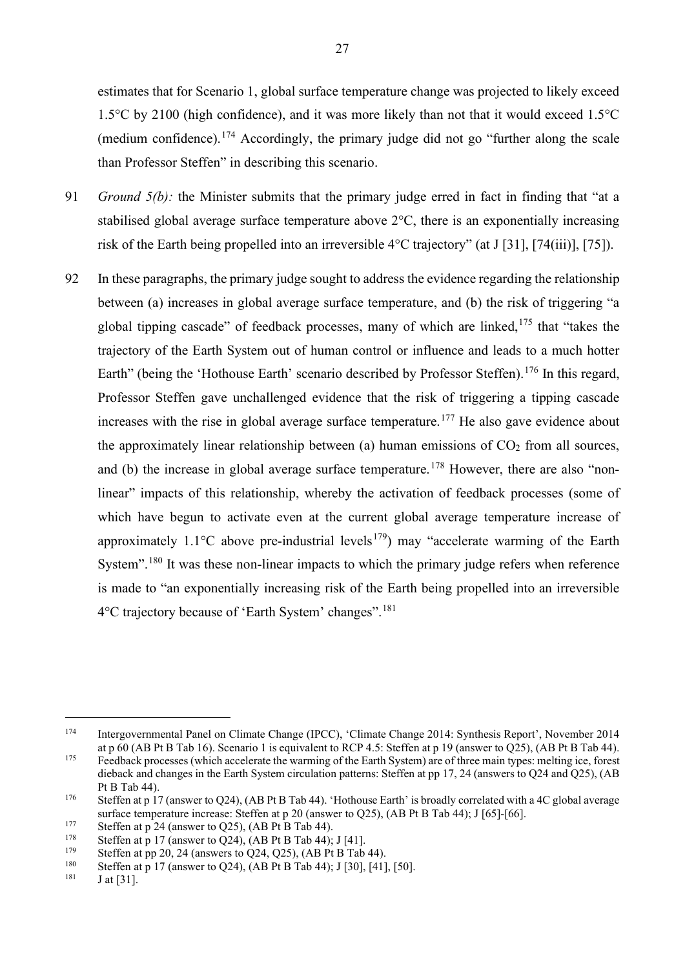estimates that for Scenario 1, global surface temperature change was projected to likely exceed 1.5°C by 2100 (high confidence), and it was more likely than not that it would exceed 1.5°C (medium confidence). [174](#page-28-0) Accordingly, the primary judge did not go "further along the scale than Professor Steffen" in describing this scenario.

- 91 *Ground 5(b):* the Minister submits that the primary judge erred in fact in finding that "at a stabilised global average surface temperature above 2°C, there is an exponentially increasing risk of the Earth being propelled into an irreversible 4°C trajectory" (at J [31], [74(iii)], [75]).
- <span id="page-28-8"></span>92 In these paragraphs, the primary judge sought to address the evidence regarding the relationship between (a) increases in global average surface temperature, and (b) the risk of triggering "a global tipping cascade" of feedback processes, many of which are linked,  $175$  that "takes the trajectory of the Earth System out of human control or influence and leads to a much hotter Earth" (being the 'Hothouse Earth' scenario described by Professor Steffen).<sup>[176](#page-28-2)</sup> In this regard, Professor Steffen gave unchallenged evidence that the risk of triggering a tipping cascade increases with the rise in global average surface temperature.<sup>[177](#page-28-3)</sup> He also gave evidence about the approximately linear relationship between (a) human emissions of  $CO<sub>2</sub>$  from all sources, and (b) the increase in global average surface temperature.<sup>[178](#page-28-4)</sup> However, there are also "nonlinear" impacts of this relationship, whereby the activation of feedback processes (some of which have begun to activate even at the current global average temperature increase of approximately  $1.1^{\circ}$ C above pre-industrial levels<sup>179</sup>) may "accelerate warming of the Earth System".<sup>[180](#page-28-6)</sup> It was these non-linear impacts to which the primary judge refers when reference is made to "an exponentially increasing risk of the Earth being propelled into an irreversible 4°C trajectory because of 'Earth System' changes".[181](#page-28-7)

<span id="page-28-0"></span><sup>174</sup> Intergovernmental Panel on Climate Change (IPCC), 'Climate Change 2014: Synthesis Report', November 2014 at p 60 (AB Pt B Tab 16). Scenario 1 is equivalent to RCP 4.5: Steffen at p 19 (answer to Q25), (AB Pt B Tab 44).

<span id="page-28-1"></span><sup>&</sup>lt;sup>175</sup> Feedback processes (which accelerate the warming of the Earth System) are of three main types: melting ice, forest dieback and changes in the Earth System circulation patterns: Steffen at pp 17, 24 (answers to Q24 and Q25), (AB Pt B Tab 44).

<span id="page-28-2"></span><sup>&</sup>lt;sup>176</sup> Steffen at p 17 (answer to Q24), (AB Pt B Tab 44). 'Hothouse Earth' is broadly correlated with a 4C global average surface temperature increase: Steffen at p 20 (answer to Q25), (AB Pt B Tab 44); J [65]-[66].<br>
Steffen at p 24 (answer to Q25), (AB Pt B Tab 44).<br>
Steffen at p 17 (answer to Q24), (AB Pt B Tab 44). L[41]

<span id="page-28-3"></span>

<span id="page-28-4"></span><sup>&</sup>lt;sup>178</sup> Steffen at p 17 (answer to Q24), (AB Pt B Tab 44); J [41].<br><sup>179</sup> Steffen at nn 20, 24 (answers to Q24, Q25), (AB Pt B Tab

<span id="page-28-5"></span><sup>&</sup>lt;sup>179</sup> Steffen at pp 20, 24 (answers to Q24, Q25), (AB Pt B Tab 44).<br><sup>180</sup> Steffen at a 17 (answer to Q24), (AB Pt B Tab 44). [120], [41]

<span id="page-28-7"></span><span id="page-28-6"></span><sup>&</sup>lt;sup>180</sup> Steffen at p 17 (answer to Q24), (AB Pt B Tab 44); J [30], [41], [50].

 $J$  at [31].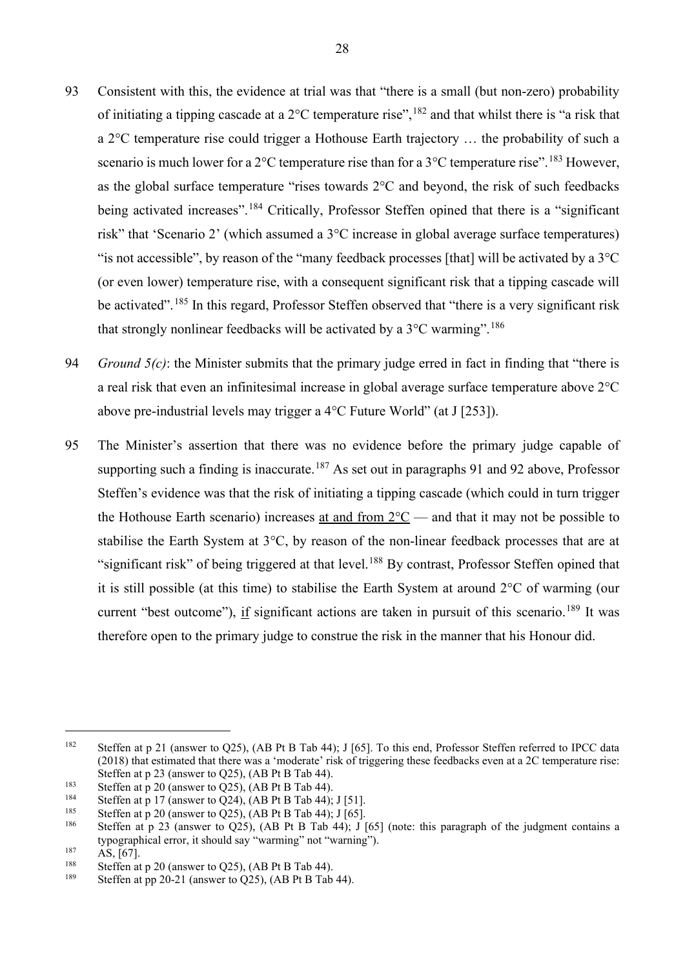- <span id="page-29-0"></span>93 Consistent with this, the evidence at trial was that "there is a small (but non-zero) probability of initiating a tipping cascade at a  $2^{\circ}$ C temperature rise",  $182$  and that whilst there is "a risk that a 2°C temperature rise could trigger a Hothouse Earth trajectory … the probability of such a scenario is much lower for a  $2^{\circ}$ C temperature rise than for a  $3^{\circ}$ C temperature rise". <sup>[183](#page-29-2)</sup> However, as the global surface temperature "rises towards 2°C and beyond, the risk of such feedbacks being activated increases".<sup>[184](#page-29-3)</sup> Critically, Professor Steffen opined that there is a "significant risk" that 'Scenario 2' (which assumed a 3°C increase in global average surface temperatures) "is not accessible", by reason of the "many feedback processes [that] will be activated by a  $3^{\circ}$ C (or even lower) temperature rise, with a consequent significant risk that a tipping cascade will be activated".<sup>[185](#page-29-4)</sup> In this regard, Professor Steffen observed that "there is a very significant risk that strongly nonlinear feedbacks will be activated by a  $3^{\circ}$ C warming".<sup>[186](#page-29-5)</sup>
- 94 *Ground 5(c)*: the Minister submits that the primary judge erred in fact in finding that "there is a real risk that even an infinitesimal increase in global average surface temperature above 2°C above pre-industrial levels may trigger a 4°C Future World" (at J [253]).
- 95 The Minister's assertion that there was no evidence before the primary judge capable of supporting such a finding is inaccurate.<sup>[187](#page-29-6)</sup> As set out in paragraphs [91](#page-28-8) and [92](#page-29-0) above, Professor Steffen's evidence was that the risk of initiating a tipping cascade (which could in turn trigger the Hothouse Earth scenario) increases at and from  $2^{\circ}C$  — and that it may not be possible to stabilise the Earth System at 3°C, by reason of the non-linear feedback processes that are at "significant risk" of being triggered at that level.<sup>[188](#page-29-7)</sup> By contrast, Professor Steffen opined that it is still possible (at this time) to stabilise the Earth System at around 2°C of warming (our current "best outcome"), if significant actions are taken in pursuit of this scenario.<sup>[189](#page-29-8)</sup> It was therefore open to the primary judge to construe the risk in the manner that his Honour did.

<span id="page-29-1"></span><sup>182</sup> Steffen at p 21 (answer to Q25), (AB Pt B Tab 44); J [65]. To this end, Professor Steffen referred to IPCC data (2018) that estimated that there was a 'moderate' risk of triggering these feedbacks even at a 2C temperature rise: Steffen at p 23 (answer to Q25), (AB Pt B Tab 44).

<span id="page-29-2"></span><sup>&</sup>lt;sup>183</sup> Steffen at p 20 (answer to Q25), (AB Pt B Tab 44).<br><sup>184</sup> Steffen at p 17 (answer to Q24), (AB Pt B Tab 44).

<span id="page-29-3"></span><sup>184</sup> Steffen at p 17 (answer to Q24), (AB Pt B Tab 44); J [51].

<span id="page-29-4"></span><sup>&</sup>lt;sup>185</sup> Steffen at p 20 (answer to Q25), (AB Pt B Tab 44); J [65].

<span id="page-29-5"></span>Steffen at p 23 (answer to O25), (AB Pt B Tab 44); J [65] (note: this paragraph of the judgment contains a typographical error, it should say "warming" not "warning").

<span id="page-29-6"></span> $^{187}$  AS, [67].

<span id="page-29-7"></span><sup>&</sup>lt;sup>188</sup> Steffen at p 20 (answer to Q25), (AB Pt B Tab 44).

<span id="page-29-8"></span>Steffen at pp 20-21 (answer to Q25), (AB Pt B Tab 44).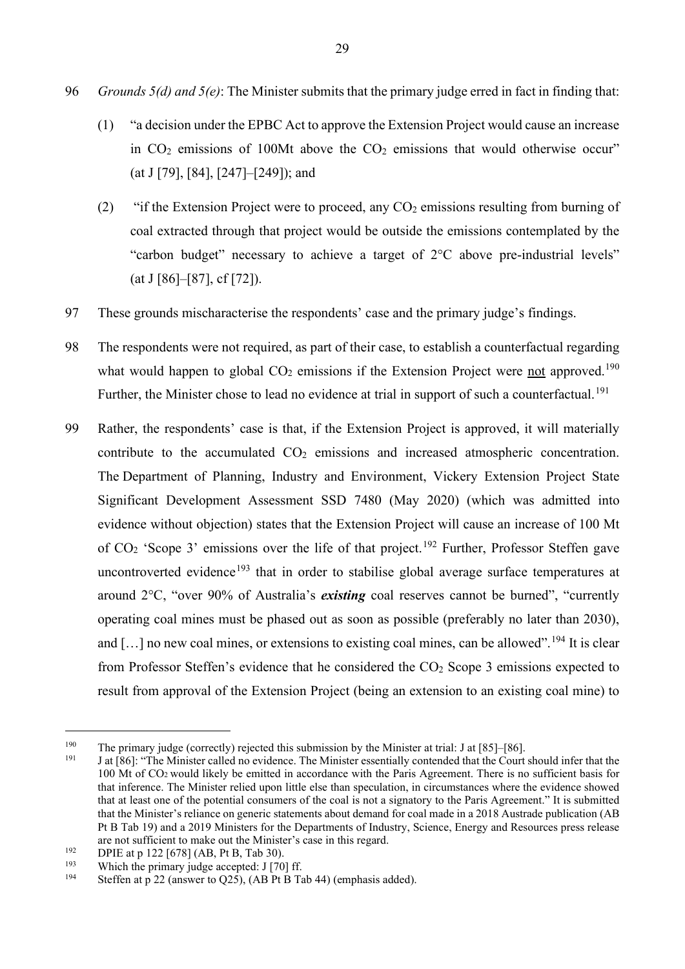- 96 *Grounds 5(d) and 5(e)*: The Minister submits that the primary judge erred in fact in finding that:
	- (1) "a decision under the EPBC Act to approve the Extension Project would cause an increase in  $CO<sub>2</sub>$  emissions of 100Mt above the  $CO<sub>2</sub>$  emissions that would otherwise occur" (at J [79], [84], [247]–[249]); and
	- (2) "if the Extension Project were to proceed, any  $CO<sub>2</sub>$  emissions resulting from burning of coal extracted through that project would be outside the emissions contemplated by the "carbon budget" necessary to achieve a target of 2°C above pre-industrial levels" (at J [86]–[87], cf [72]).
- 97 These grounds mischaracterise the respondents' case and the primary judge's findings.
- 98 The respondents were not required, as part of their case, to establish a counterfactual regarding what would happen to global  $CO<sub>2</sub>$  emissions if the Extension Project were not approved.<sup>[190](#page-30-0)</sup> Further, the Minister chose to lead no evidence at trial in support of such a counterfactual.<sup>[191](#page-30-1)</sup>
- 99 Rather, the respondents' case is that, if the Extension Project is approved, it will materially contribute to the accumulated  $CO<sub>2</sub>$  emissions and increased atmospheric concentration. The Department of Planning, Industry and Environment, Vickery Extension Project State Significant Development Assessment SSD 7480 (May 2020) (which was admitted into evidence without objection) states that the Extension Project will cause an increase of 100 Mt of  $CO<sub>2</sub>$  'Scope 3' emissions over the life of that project.<sup>[192](#page-30-2)</sup> Further, Professor Steffen gave uncontroverted evidence<sup>[193](#page-30-3)</sup> that in order to stabilise global average surface temperatures at around 2°C, "over 90% of Australia's *existing* coal reserves cannot be burned", "currently operating coal mines must be phased out as soon as possible (preferably no later than 2030), and  $[\dots]$  no new coal mines, or extensions to existing coal mines, can be allowed". <sup>[194](#page-30-4)</sup> It is clear from Professor Steffen's evidence that he considered the  $CO<sub>2</sub>$  Scope 3 emissions expected to result from approval of the Extension Project (being an extension to an existing coal mine) to

<span id="page-30-1"></span><span id="page-30-0"></span><sup>&</sup>lt;sup>190</sup> The primary judge (correctly) rejected this submission by the Minister at trial: J at [85]–[86].<br><sup>191</sup> Let <sup>[86]</sup>. <sup>191</sup> Let <sup>[86]</sup>. Minister as light as suidance. The Minister associative categorial debately Caugh

<sup>191</sup> J at [86]: "The Minister called no evidence. The Minister essentially contended that the Court should infer that the 100 Mt of CO2 would likely be emitted in accordance with the Paris Agreement. There is no sufficient basis for that inference. The Minister relied upon little else than speculation, in circumstances where the evidence showed that at least one of the potential consumers of the coal is not a signatory to the Paris Agreement." It is submitted that the Minister's reliance on generic statements about demand for coal made in a 2018 Austrade publication (AB Pt B Tab 19) and a 2019 Ministers for the Departments of Industry, Science, Energy and Resources press release are not sufficient to make out the Minister's case in this regard.<br>DPIE at p 122 [678] (AB, Pt B, Tab 30).

<span id="page-30-3"></span><span id="page-30-2"></span><sup>&</sup>lt;sup>192</sup> DPIE at p 122 [678] (AB, Pt B, Tab 30).<br><sup>193</sup> Which the primary judge accepted: J [70] ff.<br><sup>194</sup> Steffen the 22 (engune to  $\overline{OS5}$ ) (AB Pt B.T.

<span id="page-30-4"></span>Steffen at p 22 (answer to Q25), (AB Pt B Tab 44) (emphasis added).